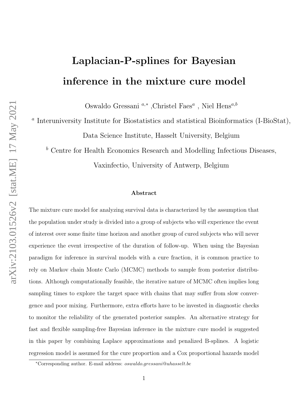# Laplacian-P-splines for Bayesian inference in the mixture cure model

Oswaldo Gressani $a^*$ ,Christel Faes $a$ , Niel Hens $a,b$ 

<sup>a</sup> Interuniversity Institute for Biostatistics and statistical Bioinformatics (I-BioStat),

Data Science Institute, Hasselt University, Belgium

 $<sup>b</sup>$  Centre for Health Economics Research and Modelling Infectious Diseases,</sup>

Vaxinfectio, University of Antwerp, Belgium

#### Abstract

The mixture cure model for analyzing survival data is characterized by the assumption that the population under study is divided into a group of subjects who will experience the event of interest over some finite time horizon and another group of cured subjects who will never experience the event irrespective of the duration of follow-up. When using the Bayesian paradigm for inference in survival models with a cure fraction, it is common practice to rely on Markov chain Monte Carlo (MCMC) methods to sample from posterior distributions. Although computationally feasible, the iterative nature of MCMC often implies long sampling times to explore the target space with chains that may suffer from slow convergence and poor mixing. Furthermore, extra efforts have to be invested in diagnostic checks to monitor the reliability of the generated posterior samples. An alternative strategy for fast and flexible sampling-free Bayesian inference in the mixture cure model is suggested in this paper by combining Laplace approximations and penalized B-splines. A logistic regression model is assumed for the cure proportion and a Cox proportional hazards model

<sup>∗</sup>Corresponding author. E-mail address: oswaldo.gressani@uhasselt.be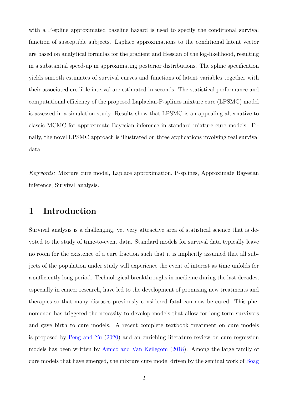with a P-spline approximated baseline hazard is used to specify the conditional survival function of susceptible subjects. Laplace approximations to the conditional latent vector are based on analytical formulas for the gradient and Hessian of the log-likelihood, resulting in a substantial speed-up in approximating posterior distributions. The spline specification yields smooth estimates of survival curves and functions of latent variables together with their associated credible interval are estimated in seconds. The statistical performance and computational efficiency of the proposed Laplacian-P-splines mixture cure (LPSMC) model is assessed in a simulation study. Results show that LPSMC is an appealing alternative to classic MCMC for approximate Bayesian inference in standard mixture cure models. Finally, the novel LPSMC approach is illustrated on three applications involving real survival data.

Keywords: Mixture cure model, Laplace approximation, P-splines, Approximate Bayesian inference, Survival analysis.

### 1 Introduction

Survival analysis is a challenging, yet very attractive area of statistical science that is devoted to the study of time-to-event data. Standard models for survival data typically leave no room for the existence of a cure fraction such that it is implicitly assumed that all subjects of the population under study will experience the event of interest as time unfolds for a sufficiently long period. Technological breakthroughs in medicine during the last decades, especially in cancer research, have led to the development of promising new treatments and therapies so that many diseases previously considered fatal can now be cured. This phenomenon has triggered the necessity to develop models that allow for long-term survivors and gave birth to cure models. A recent complete textbook treatment on cure models is proposed by [Peng and Yu](#page-34-0) [\(2020\)](#page-34-0) and an enriching literature review on cure regression models has been written by [Amico and Van Keilegom](#page-31-0) [\(2018\)](#page-31-0). Among the large family of cure models that have emerged, the mixture cure model driven by the seminal work of [Boag](#page-31-1)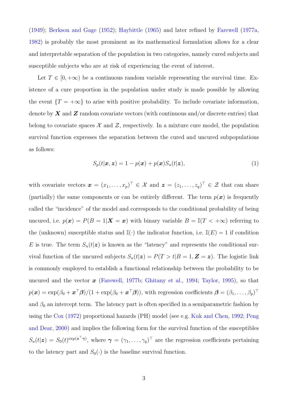[\(1949\)](#page-31-1); [Berkson and Gage](#page-31-2) [\(1952\)](#page-31-2); [Haybittle](#page-33-0) [\(1965\)](#page-33-0) and later refined by [Farewell](#page-32-0) [\(1977a,](#page-32-0) [1982\)](#page-32-1) is probably the most prominent as its mathematical formulation allows for a clear and interpretable separation of the population in two categories, namely cured subjects and susceptible subjects who are at risk of experiencing the event of interest.

Let  $T \in [0, +\infty)$  be a continuous random variable representing the survival time. Existence of a cure proportion in the population under study is made possible by allowing the event  $\{T = +\infty\}$  to arise with positive probability. To include covariate information, denote by  $X$  and  $Z$  random covariate vectors (with continuous and/or discrete entries) that belong to covariate spaces  $\mathcal X$  and  $\mathcal Z$ , respectively. In a mixture cure model, the population survival function expresses the separation between the cured and uncured subpopulations as follows:

$$
S_p(t|\boldsymbol{x}, \boldsymbol{z}) = 1 - p(\boldsymbol{x}) + p(\boldsymbol{x})S_u(t|\boldsymbol{z}), \qquad (1)
$$

with covariate vectors  $\boldsymbol{x} = (x_1, \ldots, x_p)^\top \in \mathcal{X}$  and  $\boldsymbol{z} = (z_1, \ldots, z_q)^\top \in \mathcal{Z}$  that can share (partially) the same components or can be entirely different. The term  $p(x)$  is frequently called the "incidence" of the model and corresponds to the conditional probability of being uncured, i.e.  $p(\mathbf{x}) = P(B = 1|\mathbf{X} = \mathbf{x})$  with binary variable  $B = \mathbb{I}(T < +\infty)$  referring to the (unknown) susceptible status and  $\mathbb{I}(\cdot)$  the indicator function, i.e.  $\mathbb{I}(E) = 1$  if condition E is true. The term  $S_u(t|\mathbf{z})$  is known as the "latency" and represents the conditional survival function of the uncured subjects  $S_u(t|\mathbf{z}) = P(T > t | B = 1, \mathbf{Z} = \mathbf{z})$ . The logistic link is commonly employed to establish a functional relationship between the probability to be uncured and the vector  $x$  [\(Farewell,](#page-32-2) [1977b;](#page-32-2) [Ghitany et al.,](#page-32-3) [1994;](#page-32-3) [Taylor,](#page-35-0) [1995\)](#page-35-0), so that  $p(\bm{x}) = \exp(\beta_0 + \bm{x}^\top \bm{\beta})/(1 + \exp(\beta_0 + \bm{x}^\top \bm{\beta}))$ , with regression coefficients  $\bm{\beta} = (\beta_1, \dots, \beta_p)^\top$ and  $\beta_0$  an intercept term. The latency part is often specified in a semiparametric fashion by using the [Cox](#page-32-4) [\(1972\)](#page-32-4) proportional hazards (PH) model (see e.g. [Kuk and Chen,](#page-33-1) [1992;](#page-33-1) [Peng](#page-34-1) [and Dear,](#page-34-1) [2000\)](#page-34-1) and implies the following form for the survival function of the susceptibles  $S_u(t|\mathbf{z}) = S_0(t)^{\exp(\mathbf{z}^\top \boldsymbol{\gamma})}$ , where  $\boldsymbol{\gamma} = (\gamma_1, \dots, \gamma_q)^\top$  are the regression coefficients pertaining to the latency part and  $S_0(\cdot)$  is the baseline survival function.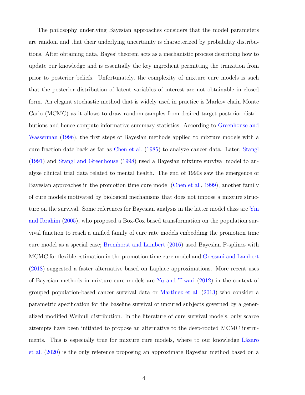The philosophy underlying Bayesian approaches considers that the model parameters are random and that their underlying uncertainty is characterized by probability distributions. After obtaining data, Bayes' theorem acts as a mechanistic process describing how to update our knowledge and is essentially the key ingredient permitting the transition from prior to posterior beliefs. Unfortunately, the complexity of mixture cure models is such that the posterior distribution of latent variables of interest are not obtainable in closed form. An elegant stochastic method that is widely used in practice is Markov chain Monte Carlo (MCMC) as it allows to draw random samples from desired target posterior distributions and hence compute informative summary statistics. According to [Greenhouse and](#page-33-2) [Wasserman](#page-33-2) [\(1996\)](#page-33-2), the first steps of Bayesian methods applied to mixture models with a cure fraction date back as far as [Chen et al.](#page-32-5) [\(1985\)](#page-32-5) to analyze cancer data. Later, [Stangl](#page-34-2) [\(1991\)](#page-34-2) and [Stangl and Greenhouse](#page-34-3) [\(1998\)](#page-34-3) used a Bayesian mixture survival model to analyze clinical trial data related to mental health. The end of 1990s saw the emergence of Bayesian approaches in the promotion time cure model [\(Chen et al.,](#page-31-3) [1999\)](#page-31-3), another family of cure models motivated by biological mechanisms that does not impose a mixture structure on the survival. Some references for Bayesian analysis in the latter model class are [Yin](#page-35-1) [and Ibrahim](#page-35-1) [\(2005\)](#page-35-1), who proposed a Box-Cox based transformation on the population survival function to reach a unified family of cure rate models embedding the promotion time cure model as a special case; [Bremhorst and Lambert](#page-31-4) [\(2016\)](#page-31-4) used Bayesian P-splines with MCMC for flexible estimation in the promotion time cure model and [Gressani and Lambert](#page-33-3) [\(2018\)](#page-33-3) suggested a faster alternative based on Laplace approximations. More recent uses of Bayesian methods in mixture cure models are [Yu and Tiwari](#page-35-2) [\(2012\)](#page-35-2) in the context of grouped population-based cancer survival data or [Martinez et al.](#page-34-4) [\(2013\)](#page-34-4) who consider a parametric specification for the baseline survival of uncured subjects governed by a generalized modified Weibull distribution. In the literature of cure survival models, only scarce attempts have been initiated to propose an alternative to the deep-rooted MCMC instruments. This is especially true for mixture cure models, where to our knowledge Lázaro [et al.](#page-33-4) [\(2020\)](#page-33-4) is the only reference proposing an approximate Bayesian method based on a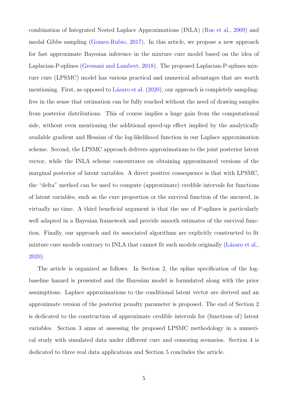combination of Integrated Nested Laplace Approximations (INLA) [\(Rue et al.,](#page-34-5) [2009\)](#page-34-5) and modal Gibbs sampling [\(Gomez-Rubio,](#page-32-6) [2017\)](#page-32-6). In this article, we propose a new approach for fast approximate Bayesian inference in the mixture cure model based on the idea of Laplacian-P-splines [\(Gressani and Lambert,](#page-33-3) [2018\)](#page-33-3). The proposed Laplacian-P-splines mixture cure (LPSMC) model has various practical and numerical advantages that are worth mentioning. First, as opposed to Lázaro et al.  $(2020)$ , our approach is completely samplingfree in the sense that estimation can be fully reached without the need of drawing samples from posterior distributions. This of course implies a huge gain from the computational side, without even mentioning the additional speed-up effect implied by the analytically available gradient and Hessian of the log-likelihood function in our Laplace approximation scheme. Second, the LPSMC approach delivers approximations to the joint posterior latent vector, while the INLA scheme concentrates on obtaining approximated versions of the marginal posterior of latent variables. A direct positive consequence is that with LPSMC, the "delta" method can be used to compute (approximate) credible intervals for functions of latent variables, such as the cure proportion or the survival function of the uncured, in virtually no time. A third beneficial argument is that the use of P-splines is particularly well adapted in a Bayesian framework and provide smooth estimates of the survival function. Finally, our approach and its associated algorithms are explicitly constructed to fit mixture cure models contrary to INLA that cannot fit such models originally  $(Lázaro et al.,)$ [2020\)](#page-33-4).

The article is organized as follows. In Section 2, the spline specification of the logbaseline hazard is presented and the Bayesian model is formulated along with the prior assumptions. Laplace approximations to the conditional latent vector are derived and an approximate version of the posterior penalty parameter is proposed. The end of Section 2 is dedicated to the construction of approximate credible intervals for (functions of) latent variables. Section 3 aims at assessing the proposed LPSMC methodology in a numerical study with simulated data under different cure and censoring scenarios. Section 4 is dedicated to three real data applications and Section 5 concludes the article.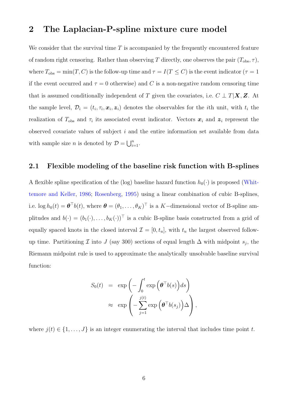### 2 The Laplacian-P-spline mixture cure model

We consider that the survival time  $T$  is accompanied by the frequently encountered feature of random right censoring. Rather than observing T directly, one observes the pair  $(T_{obs}, \tau)$ , where  $T_{\text{obs}} = \min(T, C)$  is the follow-up time and  $\tau = I(T \le C)$  is the event indicator  $(\tau = 1)$ if the event occurred and  $\tau = 0$  otherwise) and C is a non-negative random censoring time that is assumed conditionally independent of T given the covariates, i.e.  $C \perp T|\mathbf{X}, \mathbf{Z}$ . At the sample level,  $\mathcal{D}_i = (t_i, \tau_i, \mathbf{x}_i, \mathbf{z}_i)$  denotes the observables for the *i*th unit, with  $t_i$  the realization of  $T_{obs}$  and  $\tau_i$  its associated event indicator. Vectors  $\boldsymbol{x}_i$  and  $\boldsymbol{z}_i$  represent the observed covariate values of subject  $i$  and the entire information set available from data with sample size *n* is denoted by  $D = \bigcup_{i=1}^{n}$ .

#### 2.1 Flexible modeling of the baseline risk function with B-splines

A flexible spline specification of the (log) baseline hazard function  $h_0(\cdot)$  is proposed [\(Whit](#page-35-3)[temore and Keller,](#page-35-3) [1986;](#page-35-3) [Rosenberg,](#page-34-6) [1995\)](#page-34-6) using a linear combination of cubic B-splines, i.e.  $\log h_0(t) = \boldsymbol{\theta}^\top b(t)$ , where  $\boldsymbol{\theta} = (\theta_1, \dots, \theta_K)^\top$  is a K-dimensional vector of B-spline amplitudes and  $b(\cdot) = (b_1(\cdot), \ldots, b_K(\cdot))^T$  is a cubic B-spline basis constructed from a grid of equally spaced knots in the closed interval  $\mathcal{I} = [0, t_u]$ , with  $t_u$  the largest observed followup time. Partitioning  $\mathcal I$  into  $J$  (say 300) sections of equal length  $\Delta$  with midpoint  $s_j$ , the Riemann midpoint rule is used to approximate the analytically unsolvable baseline survival function:

<span id="page-5-0"></span>
$$
S_0(t) = \exp\left(-\int_0^t \exp\left(\boldsymbol{\theta}^\top b(s)\right) ds\right)
$$

$$
\approx \exp\left(-\sum_{j=1}^{j(t)} \exp\left(\boldsymbol{\theta}^\top b(s_j)\right) \Delta\right),
$$

where  $j(t) \in \{1, \ldots, J\}$  is an integer enumerating the interval that includes time point t.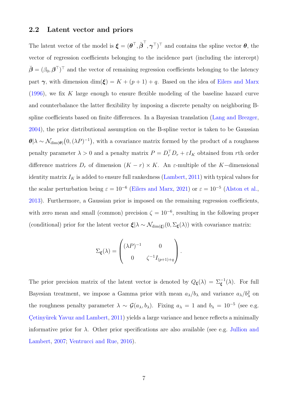#### 2.2 Latent vector and priors

The latent vector of the model is  $\boldsymbol{\xi} = (\boldsymbol{\theta}^\top, \check{\boldsymbol{\beta}}^\top, \boldsymbol{\gamma}^\top)^\top$  and contains the spline vector  $\boldsymbol{\theta}$ , the vector of regression coefficients belonging to the incidence part (including the intercept)  $\breve{\boldsymbol{\beta}} = (\beta_0, \boldsymbol{\beta}^\top)^\top$  and the vector of remaining regression coefficients belonging to the latency part  $\gamma$ , with dimension dim( $\xi$ ) = K + (p + 1) + q. Based on the idea of [Eilers and Marx](#page-32-7) [\(1996\)](#page-32-7), we fix K large enough to ensure flexible modeling of the baseline hazard curve and counterbalance the latter flexibility by imposing a discrete penalty on neighboring Bspline coefficients based on finite differences. In a Bayesian translation [\(Lang and Brezger,](#page-33-5) [2004\)](#page-33-5), the prior distributional assumption on the B-spline vector is taken to be Gaussian  $\theta_{\alpha} \sim \mathcal{N}_{\dim(\theta)}(0, (\lambda P)^{-1}),$  with a covariance matrix formed by the product of a roughness penalty parameter  $\lambda > 0$  and a penalty matrix  $P = D_r^{\top} D_r + \varepsilon I_K$  obtained from rth order difference matrices  $D_r$  of dimension  $(K - r) \times K$ . An  $\varepsilon$ -multiple of the K-dimensional identity matrix  $I_K$  is added to ensure full rankedness [\(Lambert,](#page-33-6) [2011\)](#page-33-6) with typical values for the scalar perturbation being  $\varepsilon = 10^{-6}$  [\(Eilers and Marx,](#page-32-8) [2021\)](#page-32-8) or  $\varepsilon = 10^{-5}$  [\(Alston et al.,](#page-31-5) [2013\)](#page-31-5). Furthermore, a Gaussian prior is imposed on the remaining regression coefficients, with zero mean and small (common) precision  $\zeta = 10^{-6}$ , resulting in the following proper (conditional) prior for the latent vector  $\xi|\lambda \sim \mathcal{N}_{\dim(\xi)}(0, \Sigma_{\xi}(\lambda))$  with covariance matrix:

$$
\Sigma_{\xi}(\lambda) = \begin{pmatrix} (\lambda P)^{-1} & 0 \\ 0 & \zeta^{-1} I_{(p+1)+q} \end{pmatrix}.
$$

The prior precision matrix of the latent vector is denoted by  $Q_{\xi}(\lambda) = \sum_{\xi}^{-1}(\lambda)$ . For full Bayesian treatment, we impose a Gamma prior with mean  $a_{\lambda}/b_{\lambda}$  and variance  $a_{\lambda}/b_{\lambda}^2$  on the roughness penalty parameter  $\lambda \sim \mathcal{G}(a_{\lambda}, b_{\lambda})$ . Fixing  $a_{\lambda} = 1$  and  $b_{\lambda} = 10^{-5}$  (see e.g. Cetinyürek Yavuz and Lambert, [2011\)](#page-31-6) yields a large variance and hence reflects a minimally informative prior for  $\lambda$ . Other prior specifications are also available (see e.g. [Jullion and](#page-33-7) [Lambert,](#page-33-7) [2007;](#page-33-7) [Ventrucci and Rue,](#page-35-4) [2016\)](#page-35-4).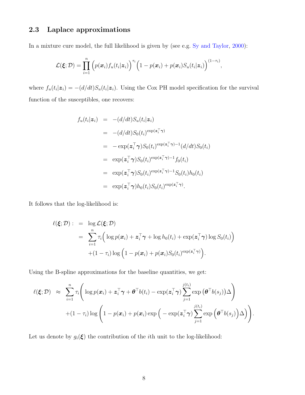### 2.3 Laplace approximations

In a mixture cure model, the full likelihood is given by (see e.g. [Sy and Taylor,](#page-34-7) [2000\)](#page-34-7):

$$
\mathcal{L}(\boldsymbol{\xi};\mathcal{D}) = \prod_{i=1}^n \left( p(\boldsymbol{x}_i) f_u(t_i|\boldsymbol{z}_i) \right)^{\tau_i} \left( 1 - p(\boldsymbol{x}_i) + p(\boldsymbol{x}_i) S_u(t_i|\boldsymbol{z}_i) \right)^{(1-\tau_i)},
$$

where  $f_u(t_i|\mathbf{z}_i) = -(d/dt)S_u(t_i|\mathbf{z}_i)$ . Using the Cox PH model specification for the survival function of the susceptibles, one recovers:

$$
f_u(t_i|\mathbf{z}_i) = -(d/dt)S_u(t_i|\mathbf{z}_i)
$$
  
\n
$$
= -(d/dt)S_0(t_i)^{\exp(\mathbf{z}_i^\top \boldsymbol{\gamma})}
$$
  
\n
$$
= -\exp(\mathbf{z}_i^\top \boldsymbol{\gamma})S_0(t_i)^{\exp(\mathbf{z}_i^\top \boldsymbol{\gamma})-1}(d/dt)S_0(t_i)
$$
  
\n
$$
= \exp(\mathbf{z}_i^\top \boldsymbol{\gamma})S_0(t_i)^{\exp(\mathbf{z}_i^\top \boldsymbol{\gamma})-1}f_0(t_i)
$$
  
\n
$$
= \exp(\mathbf{z}_i^\top \boldsymbol{\gamma})S_0(t_i)^{\exp(\mathbf{z}_i^\top \boldsymbol{\gamma})-1}S_0(t_i)h_0(t_i)
$$
  
\n
$$
= \exp(\mathbf{z}_i^\top \boldsymbol{\gamma})h_0(t_i)S_0(t_i)^{\exp(\mathbf{z}_i^\top \boldsymbol{\gamma})}.
$$

It follows that the log-likelihood is:

$$
\ell(\boldsymbol{\xi}; \mathcal{D}) : = \log \mathcal{L}(\boldsymbol{\xi}; \mathcal{D})
$$
  
= 
$$
\sum_{i=1}^{n} \tau_i \Big( \log p(\boldsymbol{x}_i) + \boldsymbol{z}_i^{\top} \boldsymbol{\gamma} + \log h_0(t_i) + \exp(\boldsymbol{z}_i^{\top} \boldsymbol{\gamma}) \log S_0(t_i) \Big)
$$
  
+ 
$$
(1 - \tau_i) \log \Big( 1 - p(\boldsymbol{x}_i) + p(\boldsymbol{x}_i) S_0(t_i)^{\exp(\boldsymbol{z}_i^{\top} \boldsymbol{\gamma})} \Big).
$$

Using the B-spline approximations for the baseline quantities, we get:

$$
\ell(\boldsymbol{\xi};\mathcal{D}) \approx \sum_{i=1}^n \tau_i \Bigg( \log p(\boldsymbol{x}_i) + \boldsymbol{z}_i^{\top} \boldsymbol{\gamma} + \boldsymbol{\theta}^{\top} b(t_i) - \exp(\boldsymbol{z}_i^{\top} \boldsymbol{\gamma}) \sum_{j=1}^{j(t_i)} \exp (\boldsymbol{\theta}^{\top} b(s_j)) \Delta \Bigg) + (1 - \tau_i) \log \bigg( 1 - p(\boldsymbol{x}_i) + p(\boldsymbol{x}_i) \exp \big( - \exp(\boldsymbol{z}_i^{\top} \boldsymbol{\gamma}) \sum_{j=1}^{j(t_i)} \exp (\boldsymbol{\theta}^{\top} b(s_j)) \Delta \big) \Bigg).
$$

Let us denote by  $g_i(\xi)$  the contribution of the *i*th unit to the log-likelihood: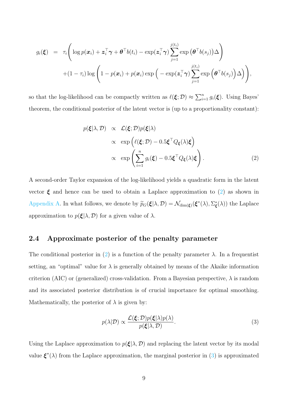$$
g_i(\boldsymbol{\xi}) = \tau_i \Bigg( \log p(\boldsymbol{x}_i) + \boldsymbol{z}_i^{\top} \boldsymbol{\gamma} + \boldsymbol{\theta}^{\top} b(t_i) - \exp(\boldsymbol{z}_i^{\top} \boldsymbol{\gamma}) \sum_{j=1}^{j(t_i)} \exp (\boldsymbol{\theta}^{\top} b(s_j)) \Delta \Bigg) + (1 - \tau_i) \log \bigg( 1 - p(\boldsymbol{x}_i) + p(\boldsymbol{x}_i) \exp \big( - \exp(\boldsymbol{z}_i^{\top} \boldsymbol{\gamma}) \sum_{j=1}^{j(t_i)} \exp (\boldsymbol{\theta}^{\top} b(s_j)) \Delta \big) \Bigg),
$$

so that the log-likelihood can be compactly written as  $\ell(\xi; \mathcal{D}) \approx \sum_{i=1}^n g_i(\xi)$ . Using Bayes' theorem, the conditional posterior of the latent vector is (up to a proportionality constant):

$$
p(\boldsymbol{\xi}|\lambda, \mathcal{D}) \propto \mathcal{L}(\boldsymbol{\xi}; \mathcal{D}) p(\boldsymbol{\xi}|\lambda)
$$
  
 
$$
\propto \exp\left(\ell(\boldsymbol{\xi}; \mathcal{D}) - 0.5 \boldsymbol{\xi}^{\top} Q_{\boldsymbol{\xi}}(\lambda) \boldsymbol{\xi}\right)
$$
  
 
$$
\propto \exp\left(\sum_{i=1}^{n} g_i(\boldsymbol{\xi}) - 0.5 \boldsymbol{\xi}^{\top} Q_{\boldsymbol{\xi}}(\lambda) \boldsymbol{\xi}\right).
$$
 (2)

A second-order Taylor expansion of the log-likelihood yields a quadratic form in the latent vector  $\xi$  and hence can be used to obtain a Laplace approximation to [\(2\)](#page-5-0) as shown in [Appendix A.](#page-24-0) In what follows, we denote by  $\widetilde{p}_G(\xi|\lambda, \mathcal{D}) = \mathcal{N}_{\dim(\xi)}(\xi^*(\lambda), \Sigma^*_{\xi}(\lambda))$  the Laplace approximation to  $p(\boldsymbol{\xi}|\lambda, \mathcal{D})$  for a given value of  $\lambda$ .

### 2.4 Approximate posterior of the penalty parameter

The conditional posterior in [\(2\)](#page-5-0) is a function of the penalty parameter  $\lambda$ . In a frequentist setting, an "optimal" value for  $\lambda$  is generally obtained by means of the Akaike information criterion (AIC) or (generalized) cross-validation. From a Bayesian perspective,  $\lambda$  is random and its associated posterior distribution is of crucial importance for optimal smoothing. Mathematically, the posterior of  $\lambda$  is given by:

<span id="page-8-0"></span>
$$
p(\lambda|\mathcal{D}) \propto \frac{\mathcal{L}(\boldsymbol{\xi}; \mathcal{D}) p(\boldsymbol{\xi}|\lambda) p(\lambda)}{p(\boldsymbol{\xi}|\lambda, \mathcal{D})}.
$$
\n(3)

Using the Laplace approximation to  $p(\xi|\lambda, \mathcal{D})$  and replacing the latent vector by its modal value  $\boldsymbol{\xi}^*(\lambda)$  from the Laplace approximation, the marginal posterior in [\(3\)](#page-8-0) is approximated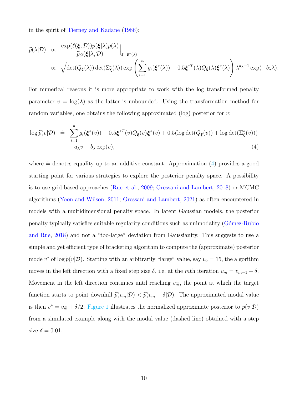in the spirit of [Tierney and Kadane](#page-35-5) [\(1986\)](#page-35-5):

<span id="page-9-0"></span>
$$
\widetilde{p}(\lambda|\mathcal{D}) \propto \frac{\exp(\ell(\xi;\mathcal{D}))p(\xi|\lambda)p(\lambda)}{\widetilde{p}_G(\xi|\lambda,\mathcal{D})}\Big|_{\xi=\xi^*(\lambda)}\n\propto \sqrt{\det(Q_{\xi}(\lambda))\det(\Sigma_{\xi}^*(\lambda))}\exp\left(\sum_{i=1}^n g_i(\xi^*(\lambda))-0.5\xi^{*T}(\lambda)Q_{\xi}(\lambda)\xi^*(\lambda)\right)\lambda^{a_{\lambda}-1}\exp(-b_{\lambda}\lambda).
$$

For numerical reasons it is more appropriate to work with the log transformed penalty parameter  $v = \log(\lambda)$  as the latter is unbounded. Using the transformation method for random variables, one obtains the following approximated (log) posterior for v:

$$
\log \widetilde{p}(v|\mathcal{D}) = \sum_{i=1}^{n} g_i(\xi^*(v)) - 0.5\xi^{*T}(v)Q_{\xi}(v)\xi^*(v) + 0.5(\log \det(Q_{\xi}(v)) + \log \det(\Sigma_{\xi}^*(v)))
$$
  
+ $a_{\lambda}v - b_{\lambda}\exp(v),$  (4)

where  $\dot{=}$  denotes equality up to an additive constant. Approximation [\(4\)](#page-9-0) provides a good starting point for various strategies to explore the posterior penalty space. A possibility is to use grid-based approaches [\(Rue et al.,](#page-34-5) [2009;](#page-34-5) [Gressani and Lambert,](#page-33-3) [2018\)](#page-33-3) or MCMC algorithms [\(Yoon and Wilson,](#page-35-6) [2011;](#page-35-6) [Gressani and Lambert,](#page-33-8) [2021\)](#page-33-8) as often encountered in models with a multidimensional penalty space. In latent Gaussian models, the posterior penalty typically satisfies suitable regularity conditions such as unimodality (Gómez-Rubio [and Rue,](#page-32-9) [2018\)](#page-32-9) and not a "too-large" deviation from Gaussianity. This suggests to use a simple and yet efficient type of bracketing algorithm to compute the (approximate) posterior mode  $v^*$  of log  $\tilde{p}(v|\mathcal{D})$ . Starting with an arbitrarily "large" value, say  $v_0 = 15$ , the algorithm moves in the left direction with a fixed step size  $\delta$ , i.e. at the mth iteration  $v_m = v_{m-1} - \delta$ . Movement in the left direction continues until reaching  $v_{\tilde{m}}$ , the point at which the target function starts to point downhill  $\tilde{p}(v_{\tilde{m}}|\mathcal{D}) < \tilde{p}(v_{\tilde{m}} + \delta|\mathcal{D})$ . The approximated modal value is then  $v^* = v_{\tilde{m}} + \delta/2$ . [Figure 1](#page-10-0) illustrates the normalized approximate posterior to  $p(v|\mathcal{D})$ from a simulated example along with the modal value (dashed line) obtained with a step size  $\delta = 0.01$ .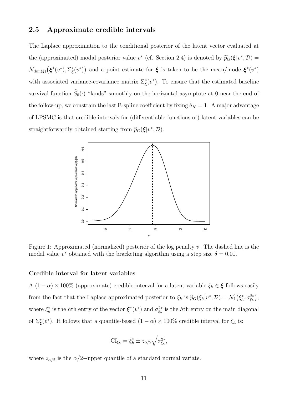#### 2.5 Approximate credible intervals

The Laplace approximation to the conditional posterior of the latent vector evaluated at the (approximated) modal posterior value  $v^*$  (cf. Section 2.4) is denoted by  $\widetilde{p}_G(\xi|v^*, \mathcal{D}) =$  $\mathcal{N}_{\text{dim}(\xi)}(\xi^*(v^*), \Sigma^*_{\xi}(v^*))$  and a point estimate for  $\xi$  is taken to be the mean/mode  $\xi^*(v^*)$ with associated variance-covariance matrix  $\Sigma_{\xi}^{*}(v^{*})$ . To ensure that the estimated baseline survival function  $\widehat{S}_0(\cdot)$  "lands" smoothly on the horizontal asymptote at 0 near the end of the follow-up, we constrain the last B-spline coefficient by fixing  $\theta_K = 1$ . A major advantage of LPSMC is that credible intervals for (differentiable functions of) latent variables can be straightforwardly obtained starting from  $\widetilde{p}_G(\boldsymbol{\xi}|v^*, \mathcal{D})$ .

<span id="page-10-0"></span>

Figure 1: Approximated (normalized) posterior of the log penalty v. The dashed line is the modal value  $v^*$  obtained with the bracketing algorithm using a step size  $\delta = 0.01$ .

#### Credible interval for latent variables

A  $(1 - \alpha) \times 100\%$  (approximate) credible interval for a latent variable  $\xi_h \in \boldsymbol{\xi}$  follows easily from the fact that the Laplace approximated posterior to  $\xi_h$  is  $\tilde{p}_G(\xi_h|v^*, \mathcal{D}) = \mathcal{N}_1(\xi_h^*, \sigma_{\xi_h}^{2*}),$ where  $\xi_h^*$  is the hth entry of the vector  $\xi^*(v^*)$  and  $\sigma_{\xi_h}^{2*}$  is the hth entry on the main diagonal of  $\Sigma_{\xi}^{*}(v^{*})$ . It follows that a quantile-based  $(1 - \alpha) \times 100\%$  credible interval for  $\xi_{h}$  is:

<span id="page-10-1"></span>
$$
CI_{\xi_h} = \xi_h^* \pm z_{\alpha/2} \sqrt{\sigma_{\xi_h}^{2*}},
$$

where  $z_{\alpha/2}$  is the  $\alpha/2$ -upper quantile of a standard normal variate.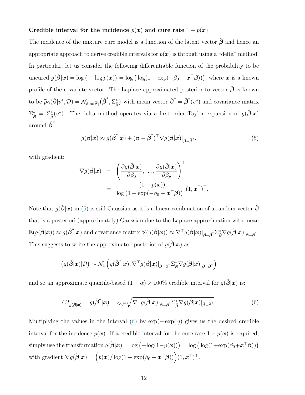#### Credible interval for the incidence  $p(x)$  and cure rate  $1 - p(x)$

The incidence of the mixture cure model is a function of the latent vector  $\check{\beta}$  and hence an appropriate approach to derive credible intervals for  $p(x)$  is through using a "delta" method. In particular, let us consider the following differentiable function of the probability to be uncured  $g(\breve{\boldsymbol{\beta}}|\boldsymbol{x}) = \log\big(-\log p(\boldsymbol{x})\big) = \log\big(\log(1 + \exp(-\beta_0 - \boldsymbol{x}^\top\boldsymbol{\beta}))\big)$ , where  $\boldsymbol{x}$  is a known profile of the covariate vector. The Laplace approximated posterior to vector  $\check{\beta}$  is known to be  $\widetilde{p}_G(\breve{\beta}|v^*, \mathcal{D}) = \mathcal{N}_{\dim(\breve{\beta})}(\breve{\beta}^*, \Sigma_{\breve{\beta}}^*)$  with mean vector  $\breve{\beta}^* = \breve{\beta}^*(v^*)$  and covariance matrix  $\Sigma_{\check{\beta}}^* = \Sigma_{\check{\beta}}^*(v^*)$ . The delta method operates via a first-order Taylor expansion of  $g(\check{\beta}|\mathbf{x})$ around  $\breve{\beta}^*$ :

$$
g(\breve{\boldsymbol{\beta}}|\mathbf{x}) \approx g(\breve{\boldsymbol{\beta}}^*|\mathbf{x}) + (\breve{\boldsymbol{\beta}} - \breve{\boldsymbol{\beta}}^*)^\top \nabla g(\breve{\boldsymbol{\beta}}|\mathbf{x})\big|_{\breve{\boldsymbol{\beta}} = \breve{\boldsymbol{\beta}}^*},\tag{5}
$$

with gradient:

<span id="page-11-0"></span>
$$
\nabla g(\breve{\boldsymbol{\beta}}|\boldsymbol{x}) = \left(\frac{\partial g(\breve{\boldsymbol{\beta}}|\boldsymbol{x})}{\partial \beta_0}, \dots, \frac{\partial g(\breve{\boldsymbol{\beta}}|\boldsymbol{x})}{\partial \beta_p}\right)^{\top} \n= \frac{-(1-p(\boldsymbol{x}))}{\log(1+\exp(-\beta_0-\boldsymbol{x}^{\top}\boldsymbol{\beta}))} (1,\boldsymbol{x}^{\top})^{\top}.
$$

Note that  $g(\check{\beta}|\boldsymbol{x})$  in [\(5\)](#page-10-1) is still Gaussian as it is a linear combination of a random vector  $\check{\beta}$ that is a posteriori (approximately) Gaussian due to the Laplace approximation with mean  $\mathbb{E}(g(\check{\boldsymbol{\beta}}|\boldsymbol{x})) \approx g(\check{\boldsymbol{\beta}}^*|\boldsymbol{x})$  and covariance matrix  $\mathbb{V}(g(\check{\boldsymbol{\beta}}|\boldsymbol{x})) \approx \nabla^{\top} g(\check{\boldsymbol{\beta}}|\boldsymbol{x})|_{\check{\boldsymbol{\beta}} = \check{\boldsymbol{\beta}}^*} \Sigma_{\check{\boldsymbol{\beta}}}^* \nabla g(\check{\boldsymbol{\beta}}|\boldsymbol{x})|_{\check{\boldsymbol{\beta}} = \check{\boldsymbol{\beta}}^*}.$ This suggests to write the approximated posterior of  $q(\hat{\boldsymbol{\beta}}|\boldsymbol{x})$  as:

$$
\left(g(\breve{\boldsymbol{\beta}}|\boldsymbol{x})|\mathcal{D}\right) \sim \mathcal{N}_1\left(g(\breve{\boldsymbol{\beta}}^*|\boldsymbol{x}), \nabla^\top g(\breve{\boldsymbol{\beta}}|\boldsymbol{x})|_{\breve{\boldsymbol{\beta}} = \breve{\boldsymbol{\beta}}^*} \Sigma_{\breve{\boldsymbol{\beta}}}^* \nabla g(\breve{\boldsymbol{\beta}}|\boldsymbol{x})|_{\breve{\boldsymbol{\beta}} = \breve{\boldsymbol{\beta}}^*}\right)
$$

and so an approximate quantile-based  $(1 - \alpha) \times 100\%$  credible interval for  $g(\check{\beta}|\mathbf{x})$  is:

$$
CI_{g(\breve{\boldsymbol{\beta}}|\mathbf{x})} = g(\breve{\boldsymbol{\beta}}^*|\mathbf{x}) \pm z_{\alpha/2} \sqrt{\nabla^{\top} g(\breve{\boldsymbol{\beta}}|\mathbf{x})|_{\breve{\boldsymbol{\beta}}=\breve{\boldsymbol{\beta}}^*} \Sigma_{\breve{\boldsymbol{\beta}}}^* \nabla g(\breve{\boldsymbol{\beta}}|\mathbf{x})|_{\breve{\boldsymbol{\beta}}=\breve{\boldsymbol{\beta}}^*}}.
$$
(6)

Multiplying the values in the interval [\(6\)](#page-11-0) by  $\exp(-\exp(\cdot))$  gives us the desired credible interval for the incidence  $p(x)$ . If a credible interval for the cure rate  $1 - p(x)$  is required, simply use the transformation  $g(\breve{\boldsymbol{\beta}}|\boldsymbol{x}) = \log(-\log(1-p(\boldsymbol{x}))) = \log(\log(1+\exp(\beta_0+\boldsymbol{x}^\top\boldsymbol{\beta})))$ with gradient  $\nabla g(\breve{\boldsymbol{\beta}}|\boldsymbol{x}) = (p(\boldsymbol{x})/\log(1+\exp(\beta_0+\boldsymbol{x}^\top\boldsymbol{\beta})))\Big)(1,\boldsymbol{x}^\top)^\top.$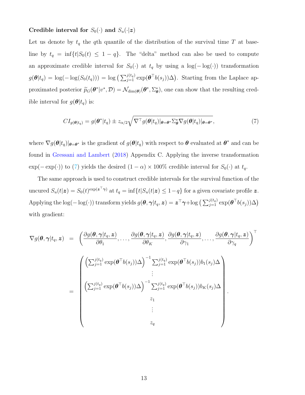#### Credible interval for  $S_0(\cdot)$  and  $S_u(\cdot|z)$

Let us denote by  $t_q$  the qth quantile of the distribution of the survival time T at baseline by  $t_q = \inf\{t|S_0(t) \leq 1 - q\}$ . The "delta" method can also be used to compute an approximate credible interval for  $S_0(\cdot)$  at  $t_q$  by using a  $\log(-\log(\cdot))$  transformation  $g(\boldsymbol{\theta}|t_q) = \log(-\log(S_0(t_q))) = \log\left(\sum_{j=1}^{j(t_q)} \exp(\boldsymbol{\theta}^\top b(s_j))\Delta\right)$ . Starting from the Laplace approximated posterior  $\tilde{p}_G(\theta^* | v^*, \mathcal{D}) = \mathcal{N}_{\dim(\theta)}(\theta^*, \Sigma_{\theta}^*),$  one can show that the resulting credible interval for  $g(\boldsymbol{\theta}|t_q)$  is:

<span id="page-12-0"></span>
$$
CI_{g(\theta|t_q)} = g(\theta^*|t_q) \pm z_{\alpha/2} \sqrt{\nabla^{\top} g(\theta|t_q)|_{\theta=\theta^*} \Sigma_{\theta}^* \nabla g(\theta|t_q)|_{\theta=\theta^*}},
$$
\n(7)

where  $\nabla g(\theta | t_q)|_{\theta=\theta^*}$  is the gradient of  $g(\theta | t_q)$  with respect to  $\theta$  evaluated at  $\theta^*$  and can be found in [Gressani and Lambert](#page-33-3) [\(2018\)](#page-33-3) Appendix C. Applying the inverse transformation  $\exp(-\exp(\cdot))$  to [\(7\)](#page-12-0) yields the desired  $(1 - \alpha) \times 100\%$  credible interval for  $S_0(\cdot)$  at  $t_q$ .

The same approach is used to construct credible intervals for the survival function of the uncured  $S_u(t|\mathbf{z}) = S_0(t)^{\exp(\mathbf{z}^\top \boldsymbol{\gamma})}$  at  $t_q = \inf\{t | S_u(t|\mathbf{z}) \leq 1-q\}$  for a given covariate profile  $\mathbf{z}$ . Applying the log( $-\log(\cdot)$ ) transform yields  $g(\boldsymbol{\theta},\boldsymbol{\gamma}|t_q,\boldsymbol{z})=\boldsymbol{z}^\top\boldsymbol{\gamma}+\log\big(\sum_{j=1}^{j(t_q)}\exp(\boldsymbol{\theta}^\top b(s_j))\Delta\big)$ with gradient:

<span id="page-12-1"></span>
$$
\nabla g(\boldsymbol{\theta}, \boldsymbol{\gamma} | t_q, \boldsymbol{z}) = \begin{pmatrix} \frac{\partial g(\boldsymbol{\theta}, \boldsymbol{\gamma} | t_q, \boldsymbol{z})}{\partial \theta_1}, \dots, \frac{\partial g(\boldsymbol{\theta}, \boldsymbol{\gamma} | t_q, \boldsymbol{z})}{\partial \theta_K}, \frac{\partial g(\boldsymbol{\theta}, \boldsymbol{\gamma} | t_q, \boldsymbol{z})}{\partial \gamma_1}, \dots, \frac{\partial g(\boldsymbol{\theta}, \boldsymbol{\gamma} | t_q, \boldsymbol{z})}{\partial \gamma_q} \end{pmatrix}^{\top}
$$
\n
$$
= \begin{pmatrix} \left( \sum_{j=1}^{j(t_q)} \exp(\boldsymbol{\theta}^{\top} b(s_j)) \Delta \right)^{-1} \sum_{j=1}^{j(t_q)} \exp(\boldsymbol{\theta}^{\top} b(s_j)) b_1(s_j) \Delta \\ \vdots \\ \left( \sum_{j=1}^{j(t_q)} \exp(\boldsymbol{\theta}^{\top} b(s_j)) \Delta \right)^{-1} \sum_{j=1}^{j(t_q)} \exp(\boldsymbol{\theta}^{\top} b(s_j)) b_K(s_j) \Delta \\ z_1 \\ \vdots \\ z_q \end{pmatrix}.
$$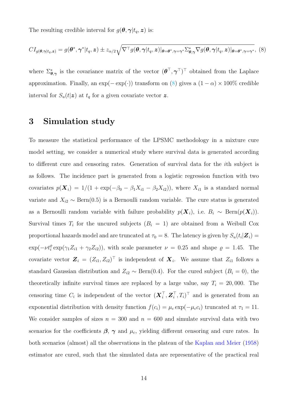The resulting credible interval for  $g(\theta, \gamma | t_q, z)$  is:

$$
CI_{g(\boldsymbol{\theta}, \boldsymbol{\gamma}|t_q, \boldsymbol{z})} = g(\boldsymbol{\theta}^*, \boldsymbol{\gamma}^*|t_q, \boldsymbol{z}) \pm z_{\alpha/2} \sqrt{\nabla^{\top} g(\boldsymbol{\theta}, \boldsymbol{\gamma}|t_q, \boldsymbol{z}) |\boldsymbol{\theta} = \boldsymbol{\theta}^*, \boldsymbol{\gamma} = \boldsymbol{\gamma}^* \Sigma_{\boldsymbol{\theta}, \boldsymbol{\gamma}}^* \nabla g(\boldsymbol{\theta}, \boldsymbol{\gamma}|t_q, \boldsymbol{z}) |\boldsymbol{\theta} = \boldsymbol{\theta}^*, \boldsymbol{\gamma} = \boldsymbol{\gamma}^*,
$$
 (8)

where  $\Sigma_{\theta,\gamma}^*$  is the covariance matrix of the vector  $(\theta^\top, \gamma^\top)^\top$  obtained from the Laplace approximation. Finally, an  $\exp(-\exp(\cdot))$  transform on [\(8\)](#page-12-1) gives a  $(1 - \alpha) \times 100\%$  credible interval for  $S_u(t|\mathbf{z})$  at  $t_q$  for a given covariate vector  $\mathbf{z}$ .

### 3 Simulation study

To measure the statistical performance of the LPSMC methodology in a mixture cure model setting, we consider a numerical study where survival data is generated according to different cure and censoring rates. Generation of survival data for the ith subject is as follows. The incidence part is generated from a logistic regression function with two covariates  $p(\mathbf{X}_i) = 1/(1 + \exp(-\beta_0 - \beta_1 X_{i1} - \beta_2 X_{i2}))$ , where  $X_{i1}$  is a standard normal variate and  $X_{i2} \sim \text{Bern}(0.5)$  is a Bernoulli random variable. The cure status is generated as a Bernoulli random variable with failure probability  $p(\mathbf{X}_i)$ , i.e.  $B_i \sim \text{Bern}(p(\mathbf{X}_i))$ . Survival times  $T_i$  for the uncured subjects  $(B_i = 1)$  are obtained from a Weibull Cox proportional hazards model and are truncated at  $\tau_0 = 8$ . The latency is given by  $S_u(t_i|\boldsymbol{Z}_i) =$  $\exp(-\nu t_i^{\rho} \exp(\gamma_1 Z_{i1} + \gamma_2 Z_{i2}))$ , with scale parameter  $\nu = 0.25$  and shape  $\rho = 1.45$ . The covariate vector  $\mathbf{Z}_i = (Z_{i1}, Z_{i2})^\top$  is independent of  $\mathbf{X}_i$ . We assume that  $Z_{i1}$  follows a standard Gaussian distribution and  $Z_{i2} \sim \text{Bern}(0.4)$ . For the cured subject  $(B_i = 0)$ , the theoretically infinite survival times are replaced by a large value, say  $T_i = 20,000$ . The censoring time  $C_i$  is independent of the vector  $(\boldsymbol{X}_i^{\top}, \boldsymbol{Z}_i^{\top})$  $_i^{\top}, T_i)^{\top}$  and is generated from an exponential distribution with density function  $f(c_i) = \mu_c \exp(-\mu_c c_i)$  truncated at  $\tau_1 = 11$ . We consider samples of sizes  $n = 300$  and  $n = 600$  and simulate survival data with two scenarios for the coefficients  $\beta$ ,  $\gamma$  and  $\mu_c$ , yielding different censoring and cure rates. In both scenarios (almost) all the observations in the plateau of the [Kaplan and Meier](#page-33-9) [\(1958\)](#page-33-9) estimator are cured, such that the simulated data are representative of the practical real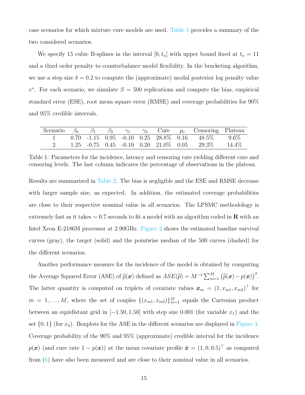case scenarios for which mixture cure models are used. [Table 1](#page-14-0) provides a summary of the two considered scenarios.

We specify 15 cubic B-splines in the interval  $[0, t_u]$  with upper bound fixed at  $t_u = 11$ and a third order penalty to counterbalance model flexibility. In the bracketing algorithm, we use a step size  $\delta = 0.2$  to compute the (approximate) modal posterior log penalty value  $v^*$ . For each scenario, we simulate  $S = 500$  replications and compute the bias, empirical standard error (ESE), root mean square error (RMSE) and coverage probabilities for 90% and 95% credible intervals.

<span id="page-14-0"></span>

|  |  |  |  | Scenario $\beta_0$ $\beta_1$ $\beta_2$ $\gamma_1$ $\gamma_2$ Cure $\mu_c$ Censoring Plateau |  |
|--|--|--|--|---------------------------------------------------------------------------------------------|--|
|  |  |  |  | $0.70$ -1.15 $0.95$ -0.10 $0.25$ 28.8% $0.16$ 48.5% $9.6\%$                                 |  |
|  |  |  |  | $1.25$ $-0.75$ $0.45$ $-0.10$ $0.20$ $21.0\%$ $0.05$ $29.3\%$ $14.4\%$                      |  |

Table 1: Parameters for the incidence, latency and censoring rate yielding different cure and censoring levels. The last column indicates the percentage of observations in the plateau.

Results are summarized in [Table 2.](#page-16-0) The bias is negligible and the ESE and RMSE decrease with larger sample size, as expected. In addition, the estimated coverage probabilities are close to their respective nominal value in all scenarios. The LPSMC methodology is extremely fast as it takes  $\sim 0.7$  seconds to fit a model with an algorithm coded in **R** with an Intel Xeon E-2186M processor at 2.90GHz. [Figure 2](#page-15-0) shows the estimated baseline survival curves (gray), the target (solid) and the pointwise median of the 500 curves (dashed) for the different scenarios.

Another performance measure for the incidence of the model is obtained by computing the Average Squared Error (ASE) of  $\widehat{p}(\boldsymbol{x})$  defined as  $ASE(\widehat{p}) = M^{-1} \sum_{m=1}^{M} (\widehat{p}(\boldsymbol{x}) - p(\boldsymbol{x}))^2$ . The latter quantity is computed on triplets of covariate values  $\boldsymbol{x}_m = (1, x_{m1}, x_{m2})^\top$  for  $m = 1, \ldots, M$ , where the set of couples  $\{(x_{m1}, x_{m2})\}_{m=1}^M$  equals the Cartesian product between an equidistant grid in  $[-1.50, 1.50]$  with step size 0.001 (for variable  $x_1$ ) and the set  $\{0, 1\}$  (for  $x_2$ ). Boxplots for the ASE in the different scenarios are displayed in [Figure 3.](#page-15-1) Coverage probability of the 90% and 95% (approximate) credible interval for the incidence  $p(\boldsymbol{x})$  (and cure rate  $1 - p(\boldsymbol{x})$ ) at the mean covariate profile  $\bar{\boldsymbol{x}} = (1, 0, 0.5)^{\top}$  as computed from [\(6\)](#page-11-0) have also been measured and are close to their nominal value in all scenarios.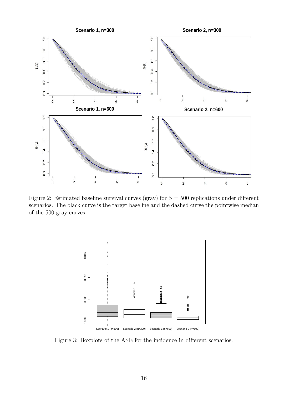<span id="page-15-0"></span>

<span id="page-15-1"></span>Figure 2: Estimated baseline survival curves (gray) for  $S = 500$  replications under different scenarios. The black curve is the target baseline and the dashed curve the pointwise median of the 500 gray curves.



Figure 3: Boxplots of the ASE for the incidence in different scenarios.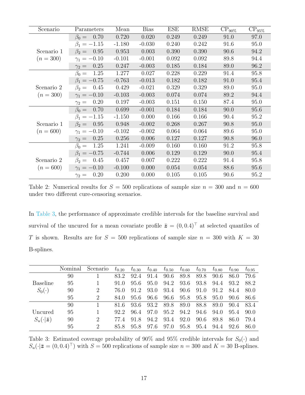<span id="page-16-0"></span>

| Scenario    | Parameters           | Mean     | <b>Bias</b> | <b>ESE</b> | <b>RMSE</b> | $CP_{90\%}$ | $CP_{95\%}$ |
|-------------|----------------------|----------|-------------|------------|-------------|-------------|-------------|
|             | $\beta_0 = 0.70$     | 0.720    | 0.020       | 0.249      | 0.249       | 91.0        | 97.0        |
|             | $\beta_1 = -1.15$    | $-1.180$ | $-0.030$    | 0.240      | 0.242       | 91.6        | 95.0        |
| Scenario 1  | 0.95<br>$\beta_2 =$  | 0.953    | 0.003       | 0.390      | 0.390       | 90.6        | 94.2        |
| $(n = 300)$ | $\gamma_1 = -0.10$   | $-0.101$ | $-0.001$    | 0.092      | 0.092       | 89.8        | 94.4        |
|             | 0.25<br>$\gamma_2 =$ | 0.247    | $-0.003$    | 0.185      | 0.184       | 89.0        | 96.2        |
|             | 1.25<br>$\beta_0 =$  | 1.277    | 0.027       | 0.228      | 0.229       | 91.4        | 95.8        |
|             | $\beta_1 = -0.75$    | $-0.763$ | $-0.013$    | 0.182      | 0.182       | 91.0        | 95.4        |
| Scenario 2  | 0.45<br>$\beta_2 =$  | 0.429    | $-0.021$    | 0.329      | 0.329       | 89.0        | 95.0        |
| $(n = 300)$ | $\gamma_1 = -0.10$   | $-0.103$ | $-0.003$    | 0.074      | 0.074       | 89.2        | 94.4        |
|             | 0.20<br>$\gamma_2 =$ | 0.197    | $-0.003$    | 0.151      | 0.150       | 87.4        | 95.0        |
|             | 0.70<br>$\beta_0 =$  | 0.699    | $-0.001$    | 0.184      | 0.184       | 90.0        | 95.6        |
|             | $\beta_1 = -1.15$    | $-1.150$ | 0.000       | 0.166      | 0.166       | 90.4        | 95.2        |
| Scenario 1  | $\beta_2 = 0.95$     | 0.948    | $-0.002$    | 0.268      | 0.267       | 90.8        | 95.0        |
| $(n = 600)$ | $\gamma_1 = -0.10$   | $-0.102$ | $-0.002$    | 0.064      | 0.064       | 89.6        | 95.0        |
|             | 0.25<br>$\gamma_2 =$ | 0.256    | 0.006       | 0.127      | 0.127       | 90.8        | 96.0        |
|             | 1.25<br>$\beta_0 =$  | 1.241    | $-0.009$    | 0.160      | 0.160       | 91.2        | 95.8        |
|             | $\beta_1 = -0.75$    | $-0.744$ | 0.006       | 0.129      | 0.129       | 90.0        | 95.4        |
| Scenario 2  | 0.45<br>$\beta_2 =$  | 0.457    | 0.007       | 0.222      | 0.222       | 91.4        | 95.8        |
| $(n = 600)$ | $\gamma_1 = -0.10$   | $-0.100$ | 0.000       | 0.054      | 0.054       | 88.6        | 95.6        |
|             | 0.20<br>$\gamma_2 =$ | 0.200    | 0.000       | 0.105      | 0.105       | 90.6        | 95.2        |

Table 2: Numerical results for  $S = 500$  replications of sample size  $n = 300$  and  $n = 600$ under two different cure-censoring scenarios.

In [Table 3,](#page-16-1) the performance of approximate credible intervals for the baseline survival and survival of the uncured for a mean covariate profile  $\bar{z} = (0, 0.4)^T$  at selected quantiles of T is shown. Results are for  $S = 500$  replications of sample size  $n = 300$  with  $K = 30$ B-splines.

<span id="page-16-1"></span>

|                      | Nominal | Scenario       | $t_{0.20}$ | $t_{0.30}$ | $t_{0.40}$ |      | $t_{0.50}$ $t_{0.60}$ | $t_{0.70}$ | $t_{0.80}$ | $t_{0.90}$ | $t_{0.95}$ |
|----------------------|---------|----------------|------------|------------|------------|------|-----------------------|------------|------------|------------|------------|
|                      | 90      |                | 83.2       | 92.4       | 91.4       | 90.6 | 89.8                  | 89.8       | 90.6       | 86.0       | 79.6       |
| Baseline             | 95      |                | 91.0       | 95.6       | 95.0       | 94.2 | 93.6                  | 93.8       | 94.4       | 93.2       | 88.2       |
| $S_0(\cdot)$         | 90      | $\overline{2}$ | 76.0       | 91.2       | 93.0       | 93.4 | 90.6                  | 91.0       | 91.2       | -84.4      | 80.0       |
|                      | 95      | $\overline{2}$ | 84.0       | 95.6       | 96.6       | 96.6 | 95.8                  | 95.8       | 95.0       | 90.6       | -86.6      |
|                      | 90      |                | 81.6       | 93.6       | 93.2       | 89.8 | 89.0                  | 88.8       | 89.0       | 90.4       | 83.4       |
| Uncured              | 95      |                | 92.2       | 96.4       | 97.0       | 95.2 | 94.2                  | 94.6       | 94.0       | 95.4       | 90.0       |
| $S_u(\cdot \bar{z})$ | 90      | $\overline{2}$ | 774        | 91.8       | 94.2       | 93.4 | 92.0                  | 90.6       | 89.8       | 86.0       | 79.4       |
|                      | 95      | 2              | 85.8       | 95.8       | 97.6       | 97.0 | 95.8                  | 95.4       | 94.4       | 92.6       | 86.0       |

Table 3: Estimated coverage probability of 90% and 95% credible intervals for  $S_0(\cdot)$  and  $S_u(\cdot|\bar{\mathbf{z}}= (0,0.4)^{\top})$  with  $S = 500$  replications of sample size  $n = 300$  and  $K = 30$  B-splines.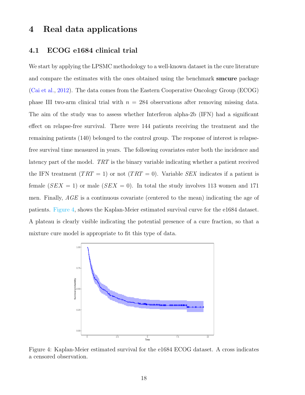### 4 Real data applications

#### 4.1 ECOG e1684 clinical trial

We start by applying the LPSMC methodology to a well-known dataset in the cure literature and compare the estimates with the ones obtained using the benchmark smcure package [\(Cai et al.,](#page-31-7) [2012\)](#page-31-7). The data comes from the Eastern Cooperative Oncology Group (ECOG) phase III two-arm clinical trial with  $n = 284$  observations after removing missing data. The aim of the study was to assess whether Interferon alpha-2b (IFN) had a significant effect on relapse-free survival. There were 144 patients receiving the treatment and the remaining patients (140) belonged to the control group. The response of interest is relapsefree survival time measured in years. The following covariates enter both the incidence and latency part of the model. TRT is the binary variable indicating whether a patient received the IFN treatment  $(TRT = 1)$  or not  $(TRT = 0)$ . Variable SEX indicates if a patient is female  $(SEX = 1)$  or male  $(SEX = 0)$ . In total the study involves 113 women and 171 men. Finally, AGE is a continuous covariate (centered to the mean) indicating the age of patients. [Figure 4,](#page-17-0) shows the Kaplan-Meier estimated survival curve for the e1684 dataset. A plateau is clearly visible indicating the potential presence of a cure fraction, so that a mixture cure model is appropriate to fit this type of data.

<span id="page-17-0"></span>

Figure 4: Kaplan-Meier estimated survival for the e1684 ECOG dataset. A cross indicates a censored observation.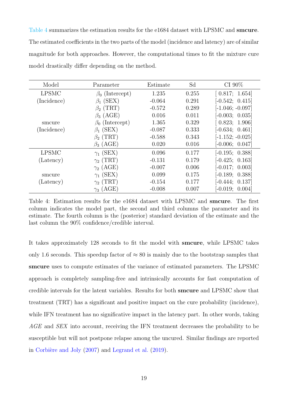[Table 4](#page-18-0) summarizes the estimation results for the e1684 dataset with LPSMC and smcure. The estimated coefficients in the two parts of the model (incidence and latency) are of similar magnitude for both approaches. However, the computational times to fit the mixture cure model drastically differ depending on the method.

<span id="page-18-0"></span>

| Model        | Parameter                     | Estimate | Sd    | CI $90\%$                    |
|--------------|-------------------------------|----------|-------|------------------------------|
| <b>LPSMC</b> | $\beta_0$ (Intercept)         | 1.235    | 0.255 | $\left[0.817; 1.654\right]$  |
| (Incidence)  | (SEX)                         | $-0.064$ | 0.291 | $[-0.542; 0.415]$            |
|              | $(\mathrm{TRT})$<br>$\beta_2$ | $-0.572$ | 0.289 | $[-1.046; -0.097]$           |
|              | (AGE)<br>$\beta_3$            | 0.016    | 0.011 | $[-0.003; 0.035]$            |
| smcure       | (Intercept)                   | 1.365    | 0.329 | $\left[0.823;\ 1.906\right]$ |
| (Incidence)  | (SEX)<br>$\beta_1$            | $-0.087$ | 0.333 | $[-0.634; 0.461]$            |
|              | $\beta_2$ (TRT)               | $-0.588$ | 0.343 | $[-1.152; -0.025]$           |
|              | (AGE)<br>$\beta_3$            | 0.020    | 0.016 | $[-0.006; 0.047]$            |
| <b>LPSMC</b> | (SEX)<br>$\gamma_1$           | 0.096    | 0.177 | $[-0.195; 0.388]$            |
| (Latency)    | $\gamma_2$ (TRT)              | $-0.131$ | 0.179 | $[-0.425; 0.163]$            |
|              | $\gamma_2$ (AGE)              | $-0.007$ | 0.006 | $[-0.017; 0.003]$            |
| smcure       | (SEX)<br>$\gamma_1$           | 0.099    | 0.175 | $[-0.189; 0.388]$            |
| (Latency)    | (TRT)<br>$\gamma_{2}$         | $-0.154$ | 0.177 | $[-0.444; 0.137]$            |
|              | 'AGE)<br>$\gamma_3$           | $-0.008$ | 0.007 | $[-0.019;$<br>0.004          |

Table 4: Estimation results for the e1684 dataset with LPSMC and smcure. The first column indicates the model part, the second and third columns the parameter and its estimate. The fourth column is the (posterior) standard deviation of the estimate and the last column the 90% confidence/credible interval.

It takes approximately 128 seconds to fit the model with smcure, while LPSMC takes only 1.6 seconds. This speedup factor of  $\approx 80$  is mainly due to the bootstrap samples that smcure uses to compute estimates of the variance of estimated parameters. The LPSMC approach is completely sampling-free and intrinsically accounts for fast computation of credible intervals for the latent variables. Results for both smcure and LPSMC show that treatment (TRT) has a significant and positive impact on the cure probability (incidence), while IFN treatment has no significative impact in the latency part. In other words, taking AGE and SEX into account, receiving the IFN treatment decreases the probability to be susceptible but will not postpone relapse among the uncured. Similar findings are reported in Corbière and Joly  $(2007)$  and [Legrand et al.](#page-34-8)  $(2019)$ .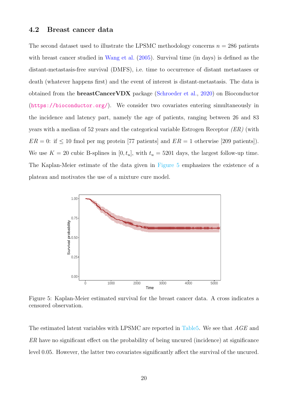#### 4.2 Breast cancer data

The second dataset used to illustrate the LPSMC methodology concerns  $n = 286$  patients with breast cancer studied in [Wang et al.](#page-35-7) [\(2005\)](#page-35-7). Survival time (in days) is defined as the distant-metastasis-free survival (DMFS), i.e. time to occurrence of distant metastases or death (whatever happens first) and the event of interest is distant-metastasis. The data is obtained from the breastCancerVDX package [\(Schroeder et al.,](#page-34-9) [2020\)](#page-34-9) on Bioconductor (<https://bioconductor.org/>). We consider two covariates entering simultaneously in the incidence and latency part, namely the age of patients, ranging between 26 and 83 years with a median of 52 years and the categorical variable Estrogen Receptor  $(ER)$  (with  $ER = 0$ : if  $\leq 10$  fmol per mg protein [77 patients] and  $ER = 1$  otherwise [209 patients]). We use  $K = 20$  cubic B-splines in  $[0, t_u]$ , with  $t_u = 5201$  days, the largest follow-up time. The Kaplan-Meier estimate of the data given in [Figure 5](#page-19-0) emphasizes the existence of a plateau and motivates the use of a mixture cure model.

<span id="page-19-0"></span>

Figure 5: Kaplan-Meier estimated survival for the breast cancer data. A cross indicates a censored observation.

The estimated latent variables with LPSMC are reported in [Table5.](#page-20-0) We see that AGE and ER have no significant effect on the probability of being uncured (incidence) at significance level 0.05. However, the latter two covariates significantly affect the survival of the uncured.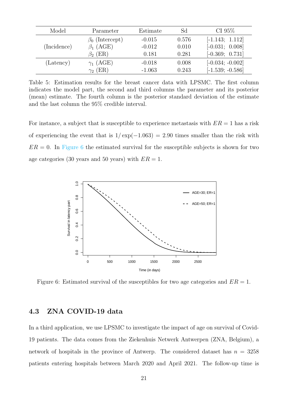<span id="page-20-0"></span>

| Model       | Parameter             | Estimate | Sd    | CI $95\%$          |
|-------------|-----------------------|----------|-------|--------------------|
|             | $\beta_0$ (Intercept) | $-0.015$ | 0.576 | $[-1.143; 1.112]$  |
| (Incidence) | $\beta_1$ (AGE)       | $-0.012$ | 0.010 | $[-0.031; 0.008]$  |
|             | $\beta_2$ (ER)        | 0.181    | 0.281 | $[-0.369; 0.731]$  |
| (Latency)   | $\gamma_1$ (AGE)      | $-0.018$ | 0.008 | $[-0.034; -0.002]$ |
|             | $\gamma_2$ (ER)       | $-1.063$ | 0.243 | $[-1.539; -0.586]$ |

Table 5: Estimation results for the breast cancer data with LPSMC. The first column indicates the model part, the second and third columns the parameter and its posterior (mean) estimate. The fourth column is the posterior standard deviation of the estimate and the last column the 95% credible interval.

For instance, a subject that is susceptible to experience metastasis with  $ER = 1$  has a risk of experiencing the event that is  $1/\exp(-1.063) = 2.90$  times smaller than the risk with  $ER = 0$ . In [Figure 6](#page-20-1) the estimated survival for the susceptible subjects is shown for two age categories (30 years and 50 years) with  $ER = 1$ .

<span id="page-20-1"></span>

Figure 6: Estimated survival of the susceptibles for two age categories and  $ER = 1$ .

#### 4.3 ZNA COVID-19 data

In a third application, we use LPSMC to investigate the impact of age on survival of Covid-19 patients. The data comes from the Ziekenhuis Netwerk Antwerpen (ZNA, Belgium), a network of hospitals in the province of Antwerp. The considered dataset has  $n = 3258$ patients entering hospitals between March 2020 and April 2021. The follow-up time is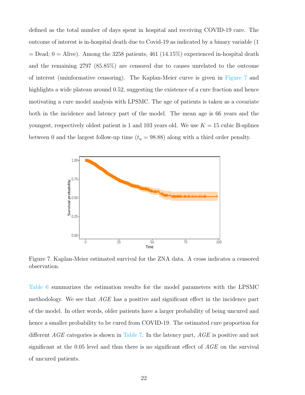defined as the total number of days spent in hospital and receiving COVID-19 care. The outcome of interest is in-hospital death due to Covid-19 as indicated by a binary variable (1  $=$  Dead; 0 = Alive). Among the 3258 patients, 461 (14.15%) experienced in-hospital death and the remaining 2797 (85.85%) are censored due to causes unrelated to the outcome of interest (uninformative censoring). The Kaplan-Meier curve is given in [Figure 7](#page-21-0) and highlights a wide plateau around 0.52, suggesting the existence of a cure fraction and hence motivating a cure model analysis with LPSMC. The age of patients is taken as a covariate both in the incidence and latency part of the model. The mean age is 66 years and the youngest, respectively oldest patient is 1 and 103 years old. We use  $K = 15$  cubic B-splines between 0 and the largest follow-up time  $(t_u = 98.88)$  along with a third order penalty.

<span id="page-21-0"></span>

Figure 7. Kaplan-Meier estimated survival for the ZNA data. A cross indicates a censored observation.

[Table 6](#page-22-0) summarizes the estimation results for the model parameters with the LPSMC methodology. We see that  $AGE$  has a positive and significant effect in the incidence part of the model. In other words, older patients have a larger probability of being uncured and hence a smaller probability to be cured from COVID-19. The estimated cure proportion for different AGE categories is shown in [Table 7.](#page-22-1) In the latency part, AGE is positive and not significant at the 0.05 level and thus there is no significant effect of AGE on the survival of uncured patients.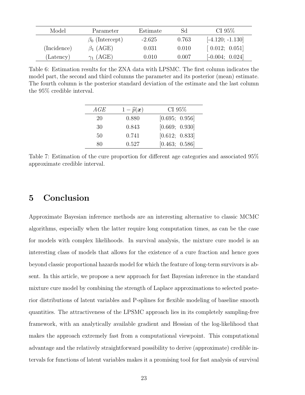<span id="page-22-0"></span>

| Model       | Parameter             | Estimate | Sd    | CI $95\%$                                    |
|-------------|-----------------------|----------|-------|----------------------------------------------|
|             | $\beta_0$ (Intercept) | $-2.625$ | 0.763 | $[-4.120; -1.130]$                           |
| (Incidence) | $\beta_1$ (AGE)       | 0.031    | 0.010 | $\begin{bmatrix} 0.012; 0.051 \end{bmatrix}$ |
| (Latency)   | $\gamma_1$ (AGE)      | 0.010    | 0.007 | $[-0.004; 0.024]$                            |

<span id="page-22-1"></span>Table 6: Estimation results for the ZNA data with LPSMC. The first column indicates the model part, the second and third columns the parameter and its posterior (mean) estimate. The fourth column is the posterior standard deviation of the estimate and the last column the 95% credible interval.

| AGE | $1-\widehat{p}(\boldsymbol{x})$ | CI $95\%$      |
|-----|---------------------------------|----------------|
| 20  | 0.880                           | [0.695; 0.956] |
| 30  | 0.843                           | [0.669; 0.930] |
| 50  | 0.741                           | [0.612; 0.833] |
| 80  | 0.527                           | [0.463; 0.586] |

Table 7: Estimation of the cure proportion for different age categories and associated 95% approximate credible interval.

### 5 Conclusion

Approximate Bayesian inference methods are an interesting alternative to classic MCMC algorithms, especially when the latter require long computation times, as can be the case for models with complex likelihoods. In survival analysis, the mixture cure model is an interesting class of models that allows for the existence of a cure fraction and hence goes beyond classic proportional hazards model for which the feature of long-term survivors is absent. In this article, we propose a new approach for fast Bayesian inference in the standard mixture cure model by combining the strength of Laplace approximations to selected posterior distributions of latent variables and P-splines for flexible modeling of baseline smooth quantities. The attractiveness of the LPSMC approach lies in its completely sampling-free framework, with an analytically available gradient and Hessian of the log-likelihood that makes the approach extremely fast from a computational viewpoint. This computational advantage and the relatively straightforward possibility to derive (approximate) credible intervals for functions of latent variables makes it a promising tool for fast analysis of survival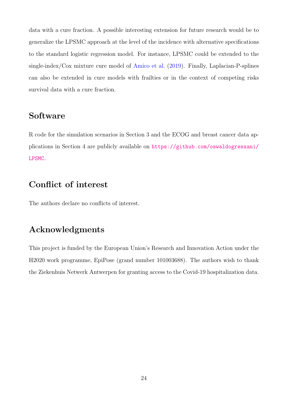data with a cure fraction. A possible interesting extension for future research would be to generalize the LPSMC approach at the level of the incidence with alternative specifications to the standard logistic regression model. For instance, LPSMC could be extended to the single-index/Cox mixture cure model of [Amico et al.](#page-31-8) [\(2019\)](#page-31-8). Finally, Laplacian-P-splines can also be extended in cure models with frailties or in the context of competing risks survival data with a cure fraction.

### Software

R code for the simulation scenarios in Section 3 and the ECOG and breast cancer data applications in Section 4 are publicly available on [https://github.com/oswaldogressani/](https://github.com/oswaldogressani/LPSMC) [LPSMC](https://github.com/oswaldogressani/LPSMC).

### Conflict of interest

The authors declare no conflicts of interest.

### Acknowledgments

This project is funded by the European Union's Research and Innovation Action under the H2020 work programme, EpiPose (grand number 101003688). The authors wish to thank the Ziekenhuis Netwerk Antwerpen for granting access to the Covid-19 hospitalization data.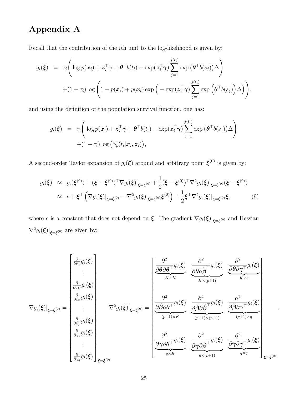## Appendix A

<span id="page-24-0"></span>Recall that the contribution of the ith unit to the log-likelihood is given by:

<span id="page-24-1"></span>
$$
g_i(\boldsymbol{\xi}) = \tau_i \Bigg( \log p(\boldsymbol{x}_i) + \boldsymbol{z}_i^{\top} \boldsymbol{\gamma} + \boldsymbol{\theta}^{\top} b(t_i) - \exp(\boldsymbol{z}_i^{\top} \boldsymbol{\gamma}) \sum_{j=1}^{j(t_i)} \exp (\boldsymbol{\theta}^{\top} b(s_j)) \Delta \Bigg) + (1 - \tau_i) \log \bigg( 1 - p(\boldsymbol{x}_i) + p(\boldsymbol{x}_i) \exp \big( - \exp(\boldsymbol{z}_i^{\top} \boldsymbol{\gamma}) \sum_{j=1}^{j(t_i)} \exp (\boldsymbol{\theta}^{\top} b(s_j)) \Delta \big) \Bigg),
$$

and using the definition of the population survival function, one has:

$$
g_i(\boldsymbol{\xi}) = \tau_i \left( \log p(\boldsymbol{x}_i) + \boldsymbol{z}_i^{\top} \boldsymbol{\gamma} + \boldsymbol{\theta}^{\top} b(t_i) - \exp(\boldsymbol{z}_i^{\top} \boldsymbol{\gamma}) \sum_{j=1}^{j(t_i)} \exp (\boldsymbol{\theta}^{\top} b(s_j)) \Delta \right) + (1 - \tau_i) \log (S_p(t_i | \boldsymbol{x}_i, \boldsymbol{z}_i)),
$$

A second-order Taylor expansion of  $g_i(\boldsymbol{\xi})$  around and arbitrary point  $\boldsymbol{\xi}^{(0)}$  is given by:

$$
g_i(\xi) \approx g_i(\xi^{(0)}) + (\xi - \xi^{(0)})^\top \nabla g_i(\xi)|_{\xi = \xi^{(0)}} + \frac{1}{2} (\xi - \xi^{(0)})^\top \nabla^2 g_i(\xi)|_{\xi = \xi^{(0)}} (\xi - \xi^{(0)})
$$
  

$$
\approx c + \xi^\top \left( \nabla g_i(\xi)|_{\xi = \xi^{(0)}} - \nabla^2 g_i(\xi)|_{\xi = \xi^{(0)}} \xi^{(0)} \right) + \frac{1}{2} \xi^\top \nabla^2 g_i(\xi)|_{\xi = \xi^{(0)}} \xi,
$$
 (9)

where c is a constant that does not depend on  $\xi$ . The gradient  $\nabla g_i(\xi)|_{\xi=\xi^{(0)}}$  and Hessian  $\nabla^2 g_i(\boldsymbol{\xi})|_{\boldsymbol{\xi}=\boldsymbol{\xi}^{(0)}}$  are given by:

$$
\nabla g_i(\boldsymbol{\xi})|_{\boldsymbol{\xi}=\boldsymbol{\xi}^{(0)}} = \begin{bmatrix} \frac{\partial}{\partial \theta_1} g_i(\boldsymbol{\xi}) \\ \vdots \\ \frac{\partial}{\partial \theta_K} g_i(\boldsymbol{\xi}) \\ \frac{\partial}{\partial \beta_0} g_i(\boldsymbol{\xi}) \\ \vdots \\ \frac{\partial}{\partial \beta_p} g_i(\boldsymbol{\xi}) \\ \vdots \\ \frac{\partial}{\partial \gamma_1} g_i(\boldsymbol{\xi}) \\ \vdots \\ \frac{\partial}{\partial \gamma_q} g_i(\boldsymbol{\xi}) \end{bmatrix}_{\boldsymbol{\xi}=\boldsymbol{\xi}^{(0)}} = \begin{bmatrix} \frac{\partial^2}{\partial \theta \partial \theta^{\top}} g_i(\boldsymbol{\xi}) & \frac{\partial^2}{\partial \theta \partial \tilde{\beta}^{\top}} g_i(\boldsymbol{\xi}) & \frac{\partial^2}{\partial \theta \partial \gamma^{\top}} g_i(\boldsymbol{\xi}) \\ \frac{\partial}{\partial \beta \partial \theta^{\top}} g_i(\boldsymbol{\xi}) & \frac{\partial^2}{\partial \theta \partial \theta^{\top}} g_i(\boldsymbol{\xi}) & \frac{\partial^2}{\partial \theta \partial \gamma^{\top}} g_i(\boldsymbol{\xi}) \\ \frac{\partial}{\partial \beta \partial \eta^{\top}} g_i(\boldsymbol{\xi}) & \frac{\partial^2}{\partial \theta \partial \gamma^{\top}} g_i(\boldsymbol{\xi}) \\ \vdots \\ \frac{\partial}{\partial \gamma \partial \theta^{\top}} g_i(\boldsymbol{\xi}) & \frac{\partial^2}{\partial \gamma \partial \tilde{\beta}^{\top}} g_i(\boldsymbol{\xi}) & \frac{\partial^2}{\partial \gamma \partial \gamma^{\top}} g_i(\boldsymbol{\xi}) \\ \frac{\partial}{\partial \gamma \partial \theta^{\top}} g_i(\boldsymbol{\xi}) & \frac{\partial^2}{\partial \gamma \partial \eta^{\top}} g_i(\boldsymbol{\xi}) \\ \frac{\partial}{\partial \gamma \partial \theta^{\top}} g_i(\boldsymbol{\xi}) & \frac{\partial^2}{\partial \gamma \partial \eta^{\top}} g_i(\boldsymbol{\xi}) \\ \frac{\partial}{\partial \gamma \partial \eta^{\top}} g_i(\boldsymbol{\xi}) & \frac{\partial}{\partial \gamma \partial \eta^{\top}} g_i(\boldsymbol{\xi}) \end{bmatrix}_{\boldsymbol{\xi} = \boldsymbol{\xi}^{(0)}}
$$

.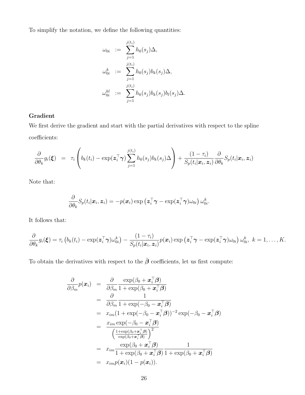To simplify the notation, we define the following quantities:

$$
\omega_{0i} \; := \; \sum_{j=1}^{j(t_i)} h_0(s_j) \Delta,
$$
\n
$$
\omega_{0i}^k \; := \; \sum_{j=1}^{j(t_i)} h_0(s_j) b_k(s_j) \Delta,
$$
\n
$$
\omega_{0i}^{kl} \; := \; \sum_{j=1}^{j(t_i)} h_0(s_j) b_k(s_j) b_l(s_j) \Delta.
$$

### Gradient

We first derive the gradient and start with the partial derivatives with respect to the spline coefficients:

$$
\frac{\partial}{\partial \theta_k} g_i(\boldsymbol{\xi}) = \tau_i \left( b_k(t_i) - \exp(\boldsymbol{z}_i^{\top} \boldsymbol{\gamma}) \sum_{j=1}^{j(t_i)} h_0(s_j) b_k(s_j) \Delta \right) + \frac{(1 - \tau_i)}{S_p(t_i | \boldsymbol{x}_i, \boldsymbol{z}_i)} \frac{\partial}{\partial \theta_k} S_p(t_i | \boldsymbol{x}_i, \boldsymbol{z}_i)
$$

Note that:

$$
\frac{\partial}{\partial \theta_k} S_p(t_i | \boldsymbol{x}_i, \boldsymbol{z}_i) = -p(\boldsymbol{x}_i) \exp \left( \boldsymbol{z}_i^{\top} \boldsymbol{\gamma} - \exp(\boldsymbol{z}_i^{\top} \boldsymbol{\gamma}) \omega_{0i} \right) \omega_{0i}^k.
$$

It follows that:

$$
\frac{\partial}{\partial \theta_k} g_i(\boldsymbol{\xi}) = \tau_i \left( b_k(t_i) - \exp(\boldsymbol{z}_i^{\top} \boldsymbol{\gamma}) \omega_{0i}^k \right) - \frac{(1-\tau_i)}{S_p(t_i|\boldsymbol{x}_i, \boldsymbol{z}_i)} p(\boldsymbol{x}_i) \exp(\boldsymbol{z}_i^{\top} \boldsymbol{\gamma} - \exp(\boldsymbol{z}_i^{\top} \boldsymbol{\gamma}) \omega_{0i}) \omega_{0i}^k, \ k = 1, \ldots, K.
$$

To obtain the derivatives with respect to the  $\beta$  coefficients, let us first compute:

$$
\frac{\partial}{\partial \beta_m} p(\boldsymbol{x}_i) = \frac{\partial}{\partial \beta_m} \frac{\exp(\beta_0 + \boldsymbol{x}_i^{\top} \boldsymbol{\beta})}{1 + \exp(\beta_0 + \boldsymbol{x}_i^{\top} \boldsymbol{\beta})} \n= \frac{\partial}{\partial \beta_m} \frac{1}{1 + \exp(-\beta_0 - \boldsymbol{x}_i^{\top} \boldsymbol{\beta})} \n= x_{im} (1 + \exp(-\beta_0 - \boldsymbol{x}_i^{\top} \boldsymbol{\beta}))^{-2} \exp(-\beta_0 - \boldsymbol{x}_i^{\top} \boldsymbol{\beta}) \n= \frac{x_{im} \exp(-\beta_0 - \boldsymbol{x}_i^{\top} \boldsymbol{\beta})}{\left(\frac{1 + \exp(\beta_0 + \boldsymbol{x}_i^{\top} \boldsymbol{\beta})}{\exp(\beta_0 + \boldsymbol{x}_i^{\top} \boldsymbol{\beta})}\right)^2} \n= x_{im} \frac{\exp(\beta_0 + \boldsymbol{x}_i^{\top} \boldsymbol{\beta})}{1 + \exp(\beta_0 + \boldsymbol{x}_i^{\top} \boldsymbol{\beta})} \frac{1}{1 + \exp(\beta_0 + \boldsymbol{x}_i^{\top} \boldsymbol{\beta})} \n= x_{im} p(\boldsymbol{x}_i) (1 - p(\boldsymbol{x}_i)).
$$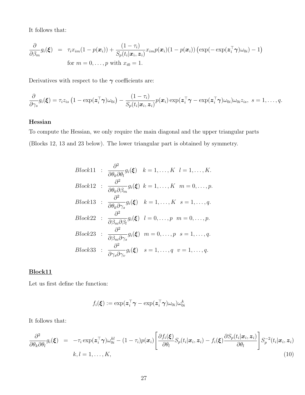It follows that:

$$
\frac{\partial}{\partial \beta_m} g_i(\boldsymbol{\xi}) = \tau_i x_{im} (1 - p(\boldsymbol{x}_i)) + \frac{(1 - \tau_i)}{S_p(t_i | \boldsymbol{x}_i, \boldsymbol{z}_i)} x_{im} p(\boldsymbol{x}_i) (1 - p(\boldsymbol{x}_i)) (\exp(-\exp(\boldsymbol{z}_i^\top \boldsymbol{\gamma}) \omega_{0i}) - 1)
$$
  
for  $m = 0, ..., p$  with  $x_{i0} = 1$ .

Derivatives with respect to the  $\gamma$  coefficients are:

$$
\frac{\partial}{\partial \gamma_s} g_i(\boldsymbol{\xi}) = \tau_i z_{is} \left(1 - \exp(\boldsymbol{z}_i^\top \boldsymbol{\gamma}) \omega_{0i}\right) - \frac{(1-\tau_i)}{S_p(t_i|\boldsymbol{x}_i, \boldsymbol{z}_i)} p(\boldsymbol{x}_i) \exp(\boldsymbol{z}_i^\top \boldsymbol{\gamma} - \exp(\boldsymbol{z}_i^\top \boldsymbol{\gamma}) \omega_{0i}) \omega_{0i} z_{is}, \ s = 1, \ldots, q.
$$

### Hessian

To compute the Hessian, we only require the main diagonal and the upper triangular parts (Blocks 12, 13 and 23 below). The lower triangular part is obtained by symmetry.

*Block11* : 
$$
\frac{\partial^2}{\partial \theta_k \partial \theta_l} g_i(\boldsymbol{\xi}) \quad k = 1, \ldots, K \quad l = 1, \ldots, K.
$$

\n*Block12* : 
$$
\frac{\partial^2}{\partial \theta_k \partial \beta_m} g_i(\boldsymbol{\xi}) \quad k = 1, \ldots, K \quad m = 0, \ldots, p.
$$

\n*Block13* : 
$$
\frac{\partial^2}{\partial \theta_k \partial \gamma_s} g_i(\boldsymbol{\xi}) \quad k = 1, \ldots, K \quad s = 1, \ldots, q.
$$

\n*Block22* : 
$$
\frac{\partial^2}{\partial \beta_m \partial \beta_l} g_i(\boldsymbol{\xi}) \quad l = 0, \ldots, p \quad m = 0, \ldots, p.
$$

\n*Block23* : 
$$
\frac{\partial^2}{\partial \beta_m \partial \gamma_s} g_i(\boldsymbol{\xi}) \quad m = 0, \ldots, p \quad s = 1, \ldots, q.
$$

\n*Block33* : 
$$
\frac{\partial^2}{\partial \gamma_s \partial \gamma_v} g_i(\boldsymbol{\xi}) \quad s = 1, \ldots, q \quad v = 1, \ldots, q.
$$

#### Block11

Let us first define the function:

$$
f_i(\boldsymbol{\xi}):=\exp(\boldsymbol{z}_i^\top\boldsymbol{\gamma}-\exp(\boldsymbol{z}_i^\top\boldsymbol{\gamma})\omega_{0i})\omega_{0i}^k
$$

It follows that:

$$
\frac{\partial^2}{\partial \theta_k \partial \theta_l} g_i(\boldsymbol{\xi}) = -\tau_i \exp(\boldsymbol{z}_i^\top \boldsymbol{\gamma}) \omega_{0i}^{kl} - (1 - \tau_i) p(\boldsymbol{x}_i) \left[ \frac{\partial f_i(\boldsymbol{\xi})}{\partial \theta_l} S_p(t_i | \boldsymbol{x}_i, \boldsymbol{z}_i) - f_i(\boldsymbol{\xi}) \frac{\partial S_p(t_i | \boldsymbol{x}_i, \boldsymbol{z}_i)}{\partial \theta_l} \right] S_p^{-2}(t_i | \boldsymbol{x}_i, \boldsymbol{z}_i)
$$
\n
$$
k, l = 1, \dots, K,
$$
\n(10)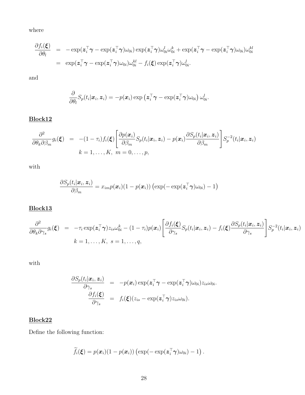where

<span id="page-27-0"></span>
$$
\begin{array}{rcl} \frac{\partial f_i(\boldsymbol{\xi})}{\partial \theta_l} & = & -\exp(\boldsymbol{z}_i^\top \boldsymbol{\gamma} - \exp(\boldsymbol{z}_i^\top \boldsymbol{\gamma}) \omega_{0i}) \exp(\boldsymbol{z}_i^\top \boldsymbol{\gamma}) \omega_{0i}^l \omega_{0i}^k + \exp(\boldsymbol{z}_i^\top \boldsymbol{\gamma} - \exp(\boldsymbol{z}_i^\top \boldsymbol{\gamma}) \omega_{0i}) \omega_{0i}^{kl} \\ \\ & = & \exp(\boldsymbol{z}_i^\top \boldsymbol{\gamma} - \exp(\boldsymbol{z}_i^\top \boldsymbol{\gamma}) \omega_{0i}) \omega_{0i}^{kl} - f_i(\boldsymbol{\xi}) \exp(\boldsymbol{z}_i^\top \boldsymbol{\gamma}) \omega_{0i}^l. \end{array}
$$

and

$$
\frac{\partial}{\partial \theta_l} S_p(t_i|\boldsymbol{x}_i,\boldsymbol{z}_i) = -p(\boldsymbol{x}_i) \exp\left(\boldsymbol{z}_i^\top\boldsymbol{\gamma} - \exp(\boldsymbol{z}_i^\top\boldsymbol{\gamma})\omega_{0i}\right) \omega_{0i}^l.
$$

### Block12

$$
\frac{\partial^2}{\partial \theta_k \partial \beta_m} g_i(\boldsymbol{\xi}) = -(1-\tau_i) f_i(\boldsymbol{\xi}) \left[ \frac{\partial p(\boldsymbol{x}_i)}{\partial \beta_m} S_p(t_i | \boldsymbol{x}_i, \boldsymbol{z}_i) - p(\boldsymbol{x}_i) \frac{\partial S_p(t_i | \boldsymbol{x}_i, \boldsymbol{z}_i)}{\partial \beta_m} \right] S_p^{-2}(t_i | \boldsymbol{x}_i, \boldsymbol{z}_i)
$$
\n
$$
k = 1, \dots, K, \ m = 0, \dots, p,
$$

with

$$
\frac{\partial S_p(t_i|\boldsymbol{x}_i,\boldsymbol{z}_i)}{\partial \beta_m} = x_{im} p(\boldsymbol{x}_i) (1-p(\boldsymbol{x}_i)) \left( \exp(-\exp(\boldsymbol{z}_i^\top \boldsymbol{\gamma}) \omega_{0i}) - 1 \right)
$$

### Block13

$$
\frac{\partial^2}{\partial \theta_k \partial \gamma_s} g_i(\boldsymbol{\xi}) = -\tau_i \exp(\boldsymbol{z}_i^\top \boldsymbol{\gamma}) z_{is} \omega_{0i}^k - (1 - \tau_i) p(\boldsymbol{x}_i) \left[ \frac{\partial f_i(\boldsymbol{\xi})}{\partial \gamma_s} S_p(t_i | \boldsymbol{x}_i, \boldsymbol{z}_i) - f_i(\boldsymbol{\xi}) \frac{\partial S_p(t_i | \boldsymbol{x}_i, \boldsymbol{z}_i)}{\partial \gamma_s} \right] S_p^{-2}(t_i | \boldsymbol{x}_i, \boldsymbol{z}_i)
$$
\n
$$
k = 1, \dots, K, \ s = 1, \dots, q,
$$

with

$$
\frac{\partial S_p(t_i|\boldsymbol{x}_i,\boldsymbol{z}_i)}{\partial \gamma_s} = -p(\boldsymbol{x}_i) \exp(\boldsymbol{z}_i^\top \boldsymbol{\gamma} - \exp(\boldsymbol{z}_i^\top \boldsymbol{\gamma}) \omega_{0i}) z_{is} \omega_{0i}.
$$
\n
$$
\frac{\partial f_i(\boldsymbol{\xi})}{\partial \gamma_s} = f_i(\boldsymbol{\xi}) (z_{is} - \exp(\boldsymbol{z}_i^\top \boldsymbol{\gamma}) z_{is} \omega_{0i}).
$$

### Block22

Define the following function:

$$
\widetilde{f}_i(\boldsymbol{\xi}) = p(\boldsymbol{x}_i)(1-p(\boldsymbol{x}_i))\left(\exp(-\exp(\boldsymbol{z}_i^\top\boldsymbol{\gamma})\omega_{0i}) - 1\right).
$$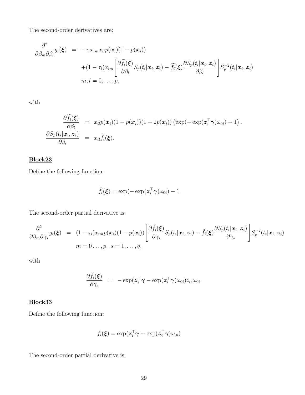The second-order derivatives are:

$$
\frac{\partial^2}{\partial \beta_m \partial \beta_l} g_i(\boldsymbol{\xi}) = -\tau_i x_{im} x_{il} p(\boldsymbol{x}_i) (1 - p(\boldsymbol{x}_i)) \n+ (1 - \tau_i) x_{im} \left[ \frac{\partial \widetilde{f}_i(\boldsymbol{\xi})}{\partial \beta_l} S_p(t_i | \boldsymbol{x}_i, \boldsymbol{z}_i) - \widetilde{f}_i(\boldsymbol{\xi}) \frac{\partial S_p(t_i | \boldsymbol{x}_i, \boldsymbol{z}_i)}{\partial \beta_l} \right] S_p^{-2}(t_i | \boldsymbol{x}_i, \boldsymbol{z}_i) \nm, l = 0, ..., p,
$$

with

$$
\frac{\partial \tilde{f}_i(\boldsymbol{\xi})}{\partial \beta_l} = x_{il} p(\boldsymbol{x}_i) (1 - p(\boldsymbol{x}_i)) (1 - 2p(\boldsymbol{x}_i)) (\exp(-\exp(\boldsymbol{z}_i^\top \boldsymbol{\gamma}) \omega_{0i}) - 1).
$$
\n
$$
\frac{\partial S_p(t_i | \boldsymbol{x}_i, \boldsymbol{z}_i)}{\partial \beta_l} = x_{il} \tilde{f}_i(\boldsymbol{\xi}).
$$

### Block23

Define the following function:

$$
\breve{f}_i(\boldsymbol{\xi}) = \exp(-\exp(\boldsymbol{z}_i^\top \boldsymbol{\gamma})\omega_{0i}) - 1
$$

The second-order partial derivative is:

$$
\frac{\partial^2}{\partial \beta_m \partial \gamma_s} g_i(\boldsymbol{\xi}) = (1 - \tau_i) x_{im} p(\boldsymbol{x}_i) (1 - p(\boldsymbol{x}_i)) \left[ \frac{\partial \breve{f}_i(\boldsymbol{\xi})}{\partial \gamma_s} S_p(t_i | \boldsymbol{x}_i, \boldsymbol{z}_i) - \breve{f}_i(\boldsymbol{\xi}) \frac{\partial S_p(t_i | \boldsymbol{x}_i, \boldsymbol{z}_i)}{\partial \gamma_s} \right] S_p^{-2}(t_i | \boldsymbol{x}_i, \boldsymbol{z}_i)
$$
\n
$$
m = 0 \dots, p, \ s = 1, \dots, q,
$$

with

$$
\frac{\partial \breve{f}_i(\boldsymbol{\xi})}{\partial \gamma_s} = -\exp(\boldsymbol{z}_i^\top \boldsymbol{\gamma} - \exp(\boldsymbol{z}_i^\top \boldsymbol{\gamma}) \omega_{0i}) z_{is} \omega_{0i}.
$$

### Block33

Define the following function:

$$
\ddot{f}_i(\boldsymbol{\xi}) = \exp(\boldsymbol{z}_i^\top \boldsymbol{\gamma} - \exp(\boldsymbol{z}_i^\top \boldsymbol{\gamma}) \omega_{0i})
$$

The second-order partial derivative is: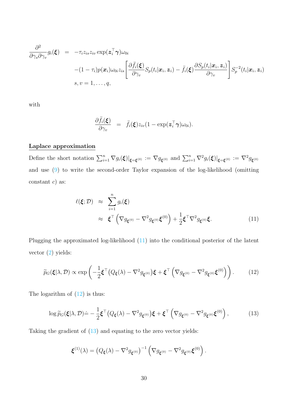$$
\frac{\partial^2}{\partial \gamma_s \partial \gamma_v} g_i(\boldsymbol{\xi}) = -\tau_i z_{is} z_{iv} \exp(\boldsymbol{z}_i^\top \boldsymbol{\gamma}) \omega_{0i} \n- (1 - \tau_i) p(\boldsymbol{x}_i) \omega_{0i} z_{is} \left[ \frac{\partial \ddot{f}_i(\boldsymbol{\xi})}{\partial \gamma_v} S_p(t_i | \boldsymbol{x}_i, \boldsymbol{z}_i) - \ddot{f}_i(\boldsymbol{\xi}) \frac{\partial S_p(t_i | \boldsymbol{x}_i, \boldsymbol{z}_i)}{\partial \gamma_v} \right] S_p^{-2}(t_i | \boldsymbol{x}_i, \boldsymbol{z}_i) \ns, v = 1, ..., q,
$$

with

$$
\frac{\partial \ddot{f}_i(\boldsymbol{\xi})}{\partial \gamma_v} = \ddot{f}_i(\boldsymbol{\xi}) z_{iv} (1 - \exp(\boldsymbol{z}_i^\top \boldsymbol{\gamma}) \omega_{0i}).
$$

#### Laplace approximation

Define the short notation  $\sum_{i=1}^n \nabla g_i(\boldsymbol{\xi})|_{\boldsymbol{\xi}=\boldsymbol{\xi}^{(0)}} := \nabla g_{\boldsymbol{\xi}^{(0)}}$  and  $\sum_{i=1}^n \nabla^2 g_i(\boldsymbol{\xi})|_{\boldsymbol{\xi}=\boldsymbol{\xi}^{(0)}} := \nabla^2 g_{\boldsymbol{\xi}^{(0)}}$ and use [\(9\)](#page-24-1) to write the second-order Taylor expansion of the log-likelihood (omitting constant  $c$ ) as:

$$
\ell(\boldsymbol{\xi}; \mathcal{D}) \approx \sum_{i=1}^{n} g_i(\boldsymbol{\xi})
$$
  
 
$$
\approx \boldsymbol{\xi}^{\top} \left( \nabla g_{\boldsymbol{\xi}^{(0)}} - \nabla^2 g_{\boldsymbol{\xi}^{(0)}} \boldsymbol{\xi}^{(0)} \right) + \frac{1}{2} \boldsymbol{\xi}^{\top} \nabla^2 g_{\boldsymbol{\xi}^{(0)}} \boldsymbol{\xi}.
$$
 (11)

Plugging the approximated log-likelihood [\(11\)](#page-27-0) into the conditional posterior of the latent vector [\(2\)](#page-5-0) yields:

<span id="page-29-0"></span>
$$
\widetilde{p}_G(\boldsymbol{\xi}|\lambda,\mathcal{D}) \propto \exp\left(-\frac{1}{2}\boldsymbol{\xi}^\top \big(Q_{\boldsymbol{\xi}}(\lambda) - \nabla^2 g_{\boldsymbol{\xi}^{(0)}}\big)\boldsymbol{\xi} + \boldsymbol{\xi}^\top \left(\nabla g_{\boldsymbol{\xi}^{(0)}} - \nabla^2 g_{\boldsymbol{\xi}^{(0)}}\boldsymbol{\xi}^{(0)}\right)\right). \tag{12}
$$

The logarithm of  $(12)$  is thus:

<span id="page-29-1"></span>
$$
\log \widetilde{p}_G(\boldsymbol{\xi}|\lambda,\mathcal{D}) \dot{=} -\frac{1}{2} \boldsymbol{\xi}^\top \big(Q_{\boldsymbol{\xi}}(\lambda) - \nabla^2 g_{\boldsymbol{\xi}^{(0)}}\big) \boldsymbol{\xi} + \boldsymbol{\xi}^\top \left(\nabla g_{\boldsymbol{\xi}^{(0)}} - \nabla^2 g_{\boldsymbol{\xi}^{(0)}} \boldsymbol{\xi}^{(0)}\right),\tag{13}
$$

Taking the gradient of [\(13\)](#page-29-1) and equating to the zero vector yields:

$$
\boldsymbol{\xi}^{(1)}(\lambda) = \left(Q_{\boldsymbol{\xi}}(\lambda) - \nabla^2 g_{\boldsymbol{\xi}^{(0)}}\right)^{-1} \left(\nabla g_{\boldsymbol{\xi}^{(0)}} - \nabla^2 g_{\boldsymbol{\xi}^{(0)}} \boldsymbol{\xi}^{(0)}\right).
$$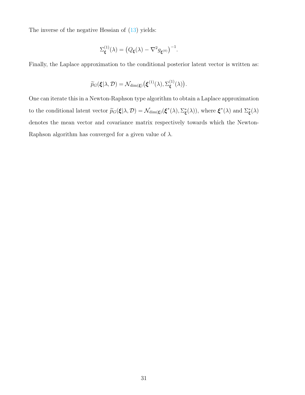The inverse of the negative Hessian of [\(13\)](#page-29-1) yields:

$$
\Sigma_{\xi}^{(1)}(\lambda) = (Q_{\xi}(\lambda) - \nabla^2 g_{\xi^{(0)}})^{-1}.
$$

Finally, the Laplace approximation to the conditional posterior latent vector is written as:

$$
\widetilde{p}_G(\boldsymbol{\xi}|\lambda,\mathcal{D})=\mathcal{N}_{\dim(\boldsymbol{\xi})}\big(\boldsymbol{\xi}^{(1)}(\lambda),\Sigma_{\boldsymbol{\xi}}^{(1)}(\lambda)\big).
$$

One can iterate this in a Newton-Raphson type algorithm to obtain a Laplace approximation to the conditional latent vector  $\widetilde{p}_G(\xi|\lambda, \mathcal{D}) = \mathcal{N}_{\dim(\xi)}(\xi^*(\lambda), \Sigma^*_{\xi}(\lambda))$ , where  $\xi^*(\lambda)$  and  $\Sigma^*_{\xi}(\lambda)$ denotes the mean vector and covariance matrix respectively towards which the Newton-Raphson algorithm has converged for a given value of  $\lambda$ .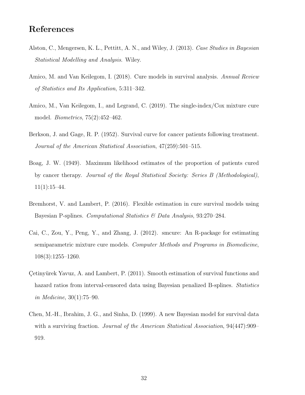### References

- <span id="page-31-5"></span>Alston, C., Mengersen, K. L., Pettitt, A. N., and Wiley, J. (2013). Case Studies in Bayesian Statistical Modelling and Analysis. Wiley.
- <span id="page-31-0"></span>Amico, M. and Van Keilegom, I. (2018). Cure models in survival analysis. Annual Review of Statistics and Its Application, 5:311–342.
- <span id="page-31-8"></span>Amico, M., Van Keilegom, I., and Legrand, C. (2019). The single-index/Cox mixture cure model. Biometrics, 75(2):452–462.
- <span id="page-31-2"></span>Berkson, J. and Gage, R. P. (1952). Survival curve for cancer patients following treatment. Journal of the American Statistical Association, 47(259):501–515.
- <span id="page-31-1"></span>Boag, J. W. (1949). Maximum likelihood estimates of the proportion of patients cured by cancer therapy. Journal of the Royal Statistical Society: Series B (Methodological),  $11(1):15-44.$
- <span id="page-31-4"></span>Bremhorst, V. and Lambert, P. (2016). Flexible estimation in cure survival models using Bayesian P-splines. Computational Statistics & Data Analysis, 93:270–284.
- <span id="page-31-7"></span>Cai, C., Zou, Y., Peng, Y., and Zhang, J. (2012). smcure: An R-package for estimating semiparametric mixture cure models. Computer Methods and Programs in Biomedicine, 108(3):1255–1260.
- <span id="page-31-6"></span>Cetinyürek Yavuz, A. and Lambert, P. (2011). Smooth estimation of survival functions and hazard ratios from interval-censored data using Bayesian penalized B-splines. Statistics in Medicine, 30(1):75–90.
- <span id="page-31-3"></span>Chen, M.-H., Ibrahim, J. G., and Sinha, D. (1999). A new Bayesian model for survival data with a surviving fraction. *Journal of the American Statistical Association*, 94(447):909– 919.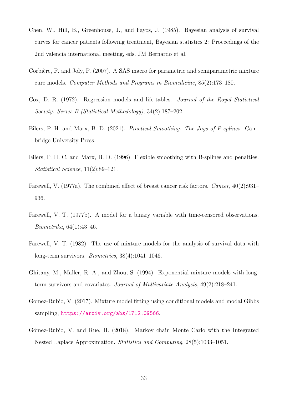- <span id="page-32-5"></span>Chen, W., Hill, B., Greenhouse, J., and Fayos, J. (1985). Bayesian analysis of survival curves for cancer patients following treatment, Bayesian statistics 2: Proceedings of the 2nd valencia international meeting, eds. JM Bernardo et al.
- <span id="page-32-10"></span>Corbière, F. and Joly, P. (2007). A SAS macro for parametric and semiparametric mixture cure models. Computer Methods and Programs in Biomedicine, 85(2):173–180.
- <span id="page-32-4"></span>Cox, D. R. (1972). Regression models and life-tables. Journal of the Royal Statistical Society: Series B (Statistical Methodology), 34(2):187–202.
- <span id="page-32-8"></span>Eilers, P. H. and Marx, B. D. (2021). Practical Smoothing: The Joys of P-splines. Cambridge University Press.
- <span id="page-32-7"></span>Eilers, P. H. C. and Marx, B. D. (1996). Flexible smoothing with B-splines and penalties. Statistical Science, 11(2):89–121.
- <span id="page-32-0"></span>Farewell, V. (1977a). The combined effect of breast cancer risk factors. *Cancer*, 40(2):931– 936.
- <span id="page-32-2"></span>Farewell, V. T. (1977b). A model for a binary variable with time-censored observations. Biometrika, 64(1):43–46.
- <span id="page-32-1"></span>Farewell, V. T. (1982). The use of mixture models for the analysis of survival data with long-term survivors. Biometrics, 38(4):1041–1046.
- <span id="page-32-3"></span>Ghitany, M., Maller, R. A., and Zhou, S. (1994). Exponential mixture models with longterm survivors and covariates. Journal of Multivariate Analysis, 49(2):218–241.
- <span id="page-32-6"></span>Gomez-Rubio, V. (2017). Mixture model fitting using conditional models and modal Gibbs sampling, <https://arxiv.org/abs/1712.09566>.
- <span id="page-32-9"></span>Gómez-Rubio, V. and Rue, H. (2018). Markov chain Monte Carlo with the Integrated Nested Laplace Approximation. Statistics and Computing, 28(5):1033–1051.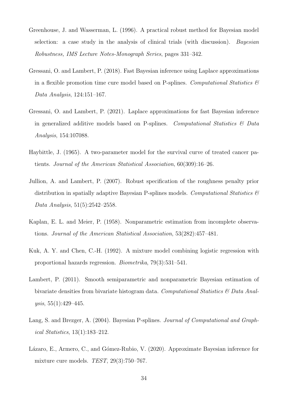- <span id="page-33-2"></span>Greenhouse, J. and Wasserman, L. (1996). A practical robust method for Bayesian model selection: a case study in the analysis of clinical trials (with discussion). Bayesian Robustness, IMS Lecture Notes-Monograph Series, pages 331–342.
- <span id="page-33-3"></span>Gressani, O. and Lambert, P. (2018). Fast Bayesian inference using Laplace approximations in a flexible promotion time cure model based on P-splines. Computational Statistics  $\mathscr B$ Data Analysis, 124:151–167.
- <span id="page-33-8"></span>Gressani, O. and Lambert, P. (2021). Laplace approximations for fast Bayesian inference in generalized additive models based on P-splines. Computational Statistics  $\mathcal{B}$  Data Analysis, 154:107088.
- <span id="page-33-0"></span>Haybittle, J. (1965). A two-parameter model for the survival curve of treated cancer patients. Journal of the American Statistical Association, 60(309):16–26.
- <span id="page-33-7"></span>Jullion, A. and Lambert, P. (2007). Robust specification of the roughness penalty prior distribution in spatially adaptive Bayesian P-splines models. Computational Statistics  $\mathcal{C}$ Data Analysis, 51(5):2542–2558.
- <span id="page-33-9"></span>Kaplan, E. L. and Meier, P. (1958). Nonparametric estimation from incomplete observations. Journal of the American Statistical Association, 53(282):457–481.
- <span id="page-33-1"></span>Kuk, A. Y. and Chen, C.-H. (1992). A mixture model combining logistic regression with proportional hazards regression. Biometrika, 79(3):531–541.
- <span id="page-33-6"></span>Lambert, P. (2011). Smooth semiparametric and nonparametric Bayesian estimation of bivariate densities from bivariate histogram data. Computational Statistics  $\mathcal{B}$  Data Analysis, 55(1):429–445.
- <span id="page-33-5"></span>Lang, S. and Brezger, A. (2004). Bayesian P-splines. *Journal of Computational and Graph*ical Statistics, 13(1):183–212.
- <span id="page-33-4"></span>Lázaro, E., Armero, C., and Gómez-Rubio, V. (2020). Approximate Bayesian inference for mixture cure models. TEST, 29(3):750–767.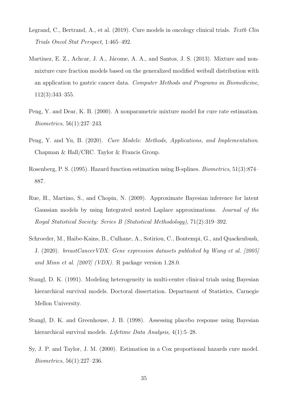- <span id="page-34-8"></span>Legrand, C., Bertrand, A., et al.  $(2019)$ . Cure models in oncology clinical trials. Textb Clin Trials Oncol Stat Perspect, 1:465–492.
- <span id="page-34-4"></span>Martinez, E. Z., Achcar, J. A., Jácome, A. A., and Santos, J. S. (2013). Mixture and nonmixture cure fraction models based on the generalized modified weibull distribution with an application to gastric cancer data. Computer Methods and Programs in Biomedicine, 112(3):343–355.
- <span id="page-34-1"></span>Peng, Y. and Dear, K. B. (2000). A nonparametric mixture model for cure rate estimation. Biometrics, 56(1):237–243.
- <span id="page-34-0"></span>Peng, Y. and Yu, B. (2020). Cure Models: Methods, Applications, and Implementation. Chapman & Hall/CRC. Taylor & Francis Group.
- <span id="page-34-6"></span>Rosenberg, P. S. (1995). Hazard function estimation using B-splines. Biometrics, 51(3):874– 887.
- <span id="page-34-5"></span>Rue, H., Martino, S., and Chopin, N. (2009). Approximate Bayesian inference for latent Gaussian models by using Integrated nested Laplace approximations. Journal of the Royal Statistical Society: Series B (Statistical Methodology), 71(2):319–392.
- <span id="page-34-9"></span>Schroeder, M., Haibe-Kains, B., Culhane, A., Sotiriou, C., Bontempi, G., and Quackenbush, J. (2020). breastCancerVDX: Gene expression datasets published by Wang et al. [2005] and Minn et al. [2007] (VDX). R package version 1.28.0.
- <span id="page-34-2"></span>Stangl, D. K. (1991). Modeling heterogeneity in multi-center clinical trials using Bayesian hierarchical survival models. Doctoral dissertation. Department of Statistics, Carnegie Mellon University.
- <span id="page-34-3"></span>Stangl, D. K. and Greenhouse, J. B. (1998). Assessing placebo response using Bayesian hierarchical survival models. *Lifetime Data Analysis*, 4(1):5–28.
- <span id="page-34-7"></span>Sy, J. P. and Taylor, J. M. (2000). Estimation in a Cox proportional hazards cure model. Biometrics, 56(1):227–236.